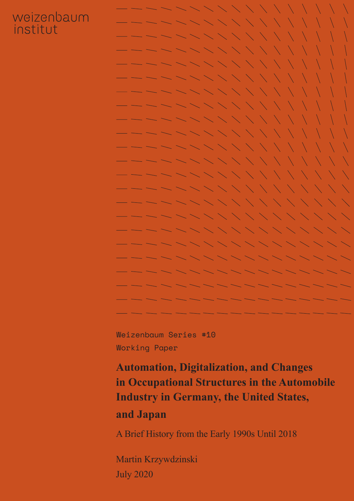## weizenbaum institut

Weizenbaum Series #10 Working Paper

**Automation, Digitalization, and Changes in Occupational Structures in the Automobile Industry in Germany, the United States,**

## **and Japan**

A Brief History from the Early 1990s Until 2018

Martin Krzywdzinski July 2020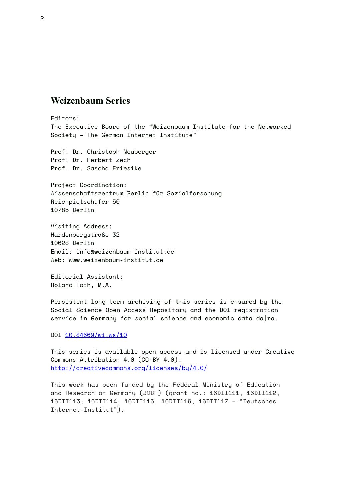#### **Weizenbaum Series**

Editors: The Executive Board of the "Weizenbaum Institute for the Networked Society – The German Internet Institute"

Prof. Dr. Christoph Neuberger Prof. Dr. Herbert Zech Prof. Dr. Sascha Friesike

Project Coordination: Wissenschaftszentrum Berlin für Sozialforschung Reichpietschufer 50 10785 Berlin

Visiting Address: Hardenbergstraße 32 10623 Berlin Email: info@weizenbaum-institut.de Web: www.weizenbaum-institut.de

Editorial Assistant: Roland Toth, M.A.

Persistent long-term archiving of this series is ensured by the Social Science Open Access Repository and the DOI registration service in Germany for social science and economic data da  $ra$ .

DOI [10.34669/wi.ws/1](https://doi.org/10.34669/wi.ws/10)0

This series is available open access and is licensed under Creative Commons Attribution 4.0 (CC-BY 4.0): <http://creativecommons.org/licenses/by/4.0/>

This work has been funded by the Federal Ministry of Education and Research of Germany (BMBF) (grant no.: 16DII111, 16DII112, 16DII113, 16DII114, 16DII115, 16DII116, 16DII117 – "Deutsches Internet-Institut").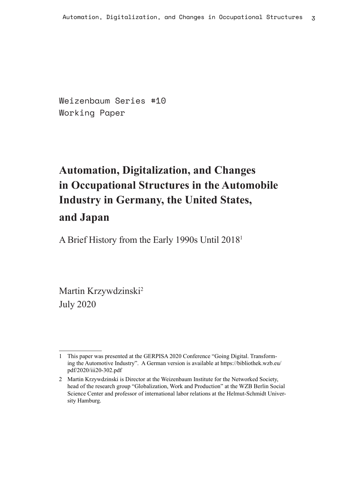Weizenbaum Series #10 Working Paper

## **Automation, Digitalization, and Changes in Occupational Structures in the Automobile Industry in Germany, the United States, and Japan**

A Brief History from the Early 1990s Until 20181

Martin Krzywdzinski2 July 2020

<sup>1</sup> This paper was presented at the GERPISA 2020 Conference "Going Digital. Transforming the Automotive Industry". A German version is available at https://bibliothek.wzb.eu/ pdf/2020/iii20-302.pdf

<sup>2</sup> Martin Krzywdzinski is Director at the Weizenbaum Institute for the Networked Society, head of the research group "Globalization, Work and Production" at the WZB Berlin Social Science Center and professor of international labor relations at the Helmut-Schmidt University Hamburg.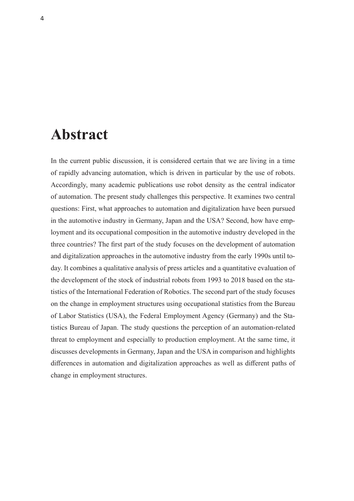## **Abstract**

In the current public discussion, it is considered certain that we are living in a time of rapidly advancing automation, which is driven in particular by the use of robots. Accordingly, many academic publications use robot density as the central indicator of automation. The present study challenges this perspective. It examines two central questions: First, what approaches to automation and digitalization have been pursued in the automotive industry in Germany, Japan and the USA? Second, how have employment and its occupational composition in the automotive industry developed in the three countries? The first part of the study focuses on the development of automation and digitalization approaches in the automotive industry from the early 1990s until today. It combines a qualitative analysis of press articles and a quantitative evaluation of the development of the stock of industrial robots from 1993 to 2018 based on the statistics of the International Federation of Robotics. The second part of the study focuses on the change in employment structures using occupational statistics from the Bureau of Labor Statistics (USA), the Federal Employment Agency (Germany) and the Statistics Bureau of Japan. The study questions the perception of an automation-related threat to employment and especially to production employment. At the same time, it discusses developments in Germany, Japan and the USA in comparison and highlights differences in automation and digitalization approaches as well as different paths of change in employment structures.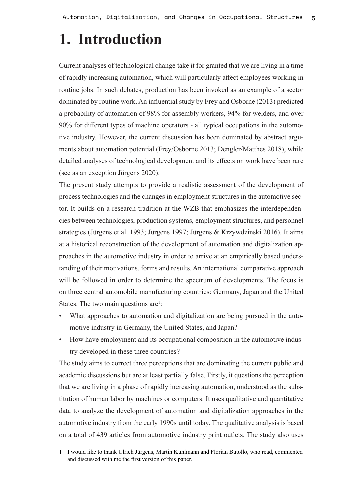# **1. Introduction**

Current analyses of technological change take it for granted that we are living in a time of rapidly increasing automation, which will particularly affect employees working in routine jobs. In such debates, production has been invoked as an example of a sector dominated by routine work. An influential study by Frey and Osborne (2013) predicted a probability of automation of 98% for assembly workers, 94% for welders, and over 90% for different types of machine operators - all typical occupations in the automotive industry. However, the current discussion has been dominated by abstract arguments about automation potential (Frey/Osborne 2013; Dengler/Matthes 2018), while detailed analyses of technological development and its effects on work have been rare (see as an exception Jürgens 2020).

The present study attempts to provide a realistic assessment of the development of process technologies and the changes in employment structures in the automotive sector. It builds on a research tradition at the WZB that emphasizes the interdependencies between technologies, production systems, employment structures, and personnel strategies (Jürgens et al. 1993; Jürgens 1997; Jürgens & Krzywdzinski 2016). It aims at a historical reconstruction of the development of automation and digitalization approaches in the automotive industry in order to arrive at an empirically based understanding of their motivations, forms and results. An international comparative approach will be followed in order to determine the spectrum of developments. The focus is on three central automobile manufacturing countries: Germany, Japan and the United States. The two main questions are<sup>1</sup>:

- What approaches to automation and digitalization are being pursued in the automotive industry in Germany, the United States, and Japan?
- How have employment and its occupational composition in the automotive industry developed in these three countries?

The study aims to correct three perceptions that are dominating the current public and academic discussions but are at least partially false. Firstly, it questions the perception that we are living in a phase of rapidly increasing automation, understood as the substitution of human labor by machines or computers. It uses qualitative and quantitative data to analyze the development of automation and digitalization approaches in the automotive industry from the early 1990s until today. The qualitative analysis is based on a total of 439 articles from automotive industry print outlets. The study also uses

<sup>1</sup> I would like to thank Ulrich Jürgens, Martin Kuhlmann and Florian Butollo, who read, commented and discussed with me the first version of this paper.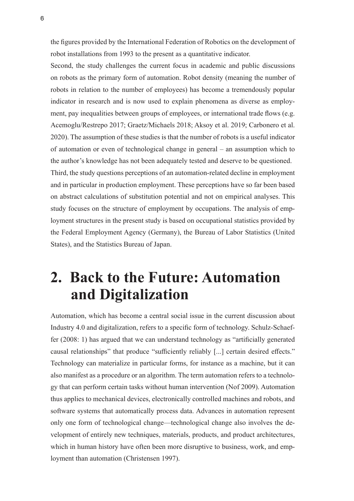the figures provided by the International Federation of Robotics on the development of robot installations from 1993 to the present as a quantitative indicator.

Second, the study challenges the current focus in academic and public discussions on robots as the primary form of automation. Robot density (meaning the number of robots in relation to the number of employees) has become a tremendously popular indicator in research and is now used to explain phenomena as diverse as employment, pay inequalities between groups of employees, or international trade flows (e.g. Acemoglu/Restrepo 2017; Graetz/Michaels 2018; Aksoy et al. 2019; Carbonero et al. 2020). The assumption of these studies is that the number of robots is a useful indicator of automation or even of technological change in general – an assumption which to the author's knowledge has not been adequately tested and deserve to be questioned. Third, the study questions perceptions of an automation-related decline in employment and in particular in production employment. These perceptions have so far been based on abstract calculations of substitution potential and not on empirical analyses. This study focuses on the structure of employment by occupations. The analysis of employment structures in the present study is based on occupational statistics provided by the Federal Employment Agency (Germany), the Bureau of Labor Statistics (United States), and the Statistics Bureau of Japan.

# **2. Back to the Future: Automation and Digitalization**

Automation, which has become a central social issue in the current discussion about Industry 4.0 and digitalization, refers to a specific form of technology. Schulz-Schaeffer (2008: 1) has argued that we can understand technology as "artificially generated causal relationships" that produce "sufficiently reliably [...] certain desired effects." Technology can materialize in particular forms, for instance as a machine, but it can also manifest as a procedure or an algorithm. The term automation refers to a technology that can perform certain tasks without human intervention (Nof 2009). Automation thus applies to mechanical devices, electronically controlled machines and robots, and software systems that automatically process data. Advances in automation represent only one form of technological change—technological change also involves the development of entirely new techniques, materials, products, and product architectures, which in human history have often been more disruptive to business, work, and employment than automation (Christensen 1997).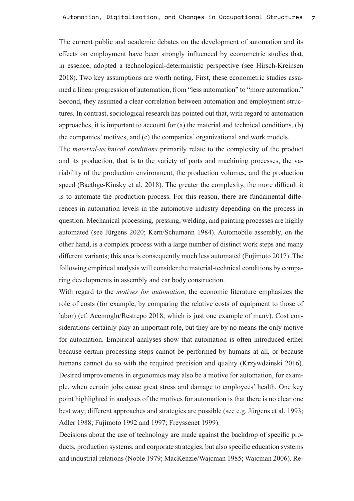The current public and academic debates on the development of automation and its effects on employment have been strongly influenced by econometric studies that, in essence, adopted a technological-deterministic perspective (see Hirsch-Kreinsen 2018). Two key assumptions are worth noting. First, these econometric studies assumed a linear progression of automation, from "less automation" to "more automation." Second, they assumed a clear correlation between automation and employment structures. In contrast, sociological research has pointed out that, with regard to automation approaches, it is important to account for (a) the material and technical conditions, (b) the companies' motives, and (c) the companies' organizational and work models.

The *material-technical conditions* primarily relate to the complexity of the product and its production, that is to the variety of parts and machining processes, the variability of the production environment, the production volumes, and the production speed (Baethge-Kinsky et al. 2018). The greater the complexity, the more difficult it is to automate the production process. For this reason, there are fundamental differences in automation levels in the automotive industry depending on the process in question. Mechanical processing, pressing, welding, and painting processes are highly automated (see Jürgens 2020; Kern/Schumann 1984). Automobile assembly, on the other hand, is a complex process with a large number of distinct work steps and many different variants; this area is consequently much less automated (Fujimoto 2017). The following empirical analysis will consider the material-technical conditions by comparing developments in assembly and car body construction.

With regard to the *motives for automation*, the economic literature emphasizes the role of costs (for example, by comparing the relative costs of equipment to those of labor) (cf. Acemoglu/Restrepo 2018, which is just one example of many). Cost considerations certainly play an important role, but they are by no means the only motive for automation. Empirical analyses show that automation is often introduced either because certain processing steps cannot be performed by humans at all, or because humans cannot do so with the required precision and quality (Krzywdzinski 2016). Desired improvements in ergonomics may also be a motive for automation, for example, when certain jobs cause great stress and damage to employees' health. One key point highlighted in analyses of the motives for automation is that there is no clear one best way; different approaches and strategies are possible (see e.g. Jürgens et al. 1993; Adler 1988; Fujimoto 1992 and 1997; Freyssenet 1999).

Decisions about the use of technology are made against the backdrop of specific products, production systems, and corporate strategies, but also specific education systems and industrial relations (Noble 1979; MacKenzie/Wajcman 1985; Wajcman 2006). Re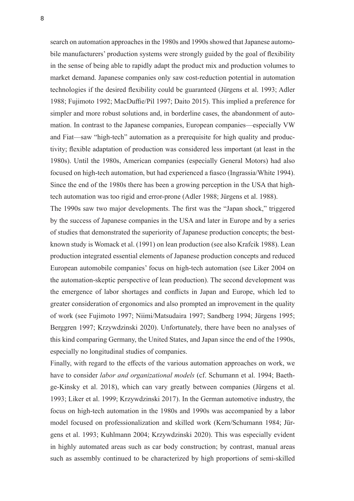search on automation approaches in the 1980s and 1990s showed that Japanese automobile manufacturers' production systems were strongly guided by the goal of flexibility in the sense of being able to rapidly adapt the product mix and production volumes to market demand. Japanese companies only saw cost-reduction potential in automation technologies if the desired flexibility could be guaranteed (Jürgens et al. 1993; Adler 1988; Fujimoto 1992; MacDuffie/Pil 1997; Daito 2015). This implied a preference for simpler and more robust solutions and, in borderline cases, the abandonment of automation. In contrast to the Japanese companies, European companies—especially VW and Fiat—saw "high-tech" automation as a prerequisite for high quality and productivity; flexible adaptation of production was considered less important (at least in the 1980s). Until the 1980s, American companies (especially General Motors) had also focused on high-tech automation, but had experienced a fiasco (Ingrassia/White 1994). Since the end of the 1980s there has been a growing perception in the USA that hightech automation was too rigid and error-prone (Adler 1988; Jürgens et al. 1988).

The 1990s saw two major developments. The first was the "Japan shock," triggered by the success of Japanese companies in the USA and later in Europe and by a series of studies that demonstrated the superiority of Japanese production concepts; the bestknown study is Womack et al. (1991) on lean production (see also Krafcik 1988). Lean production integrated essential elements of Japanese production concepts and reduced European automobile companies' focus on high-tech automation (see Liker 2004 on the automation-skeptic perspective of lean production). The second development was the emergence of labor shortages and conflicts in Japan and Europe, which led to greater consideration of ergonomics and also prompted an improvement in the quality of work (see Fujimoto 1997; Niimi/Matsudaira 1997; Sandberg 1994; Jürgens 1995; Berggren 1997; Krzywdzinski 2020). Unfortunately, there have been no analyses of this kind comparing Germany, the United States, and Japan since the end of the 1990s, especially no longitudinal studies of companies.

Finally, with regard to the effects of the various automation approaches on work, we have to consider *labor and organizational models* (cf. Schumann et al. 1994; Baethge-Kinsky et al. 2018), which can vary greatly between companies (Jürgens et al. 1993; Liker et al. 1999; Krzywdzinski 2017). In the German automotive industry, the focus on high-tech automation in the 1980s and 1990s was accompanied by a labor model focused on professionalization and skilled work (Kern/Schumann 1984; Jürgens et al. 1993; Kuhlmann 2004; Krzywdzinski 2020). This was especially evident in highly automated areas such as car body construction; by contrast, manual areas such as assembly continued to be characterized by high proportions of semi-skilled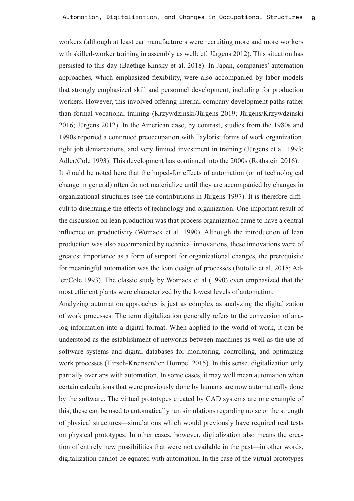workers (although at least car manufacturers were recruiting more and more workers with skilled-worker training in assembly as well; cf. Jürgens 2012). This situation has persisted to this day (Baethge-Kinsky et al. 2018). In Japan, companies' automation approaches, which emphasized flexibility, were also accompanied by labor models that strongly emphasized skill and personnel development, including for production workers. However, this involved offering internal company development paths rather than formal vocational training (Krzywdzinski/Jürgens 2019; Jürgens/Krzywdzinski 2016; Jürgens 2012). In the American case, by contrast, studies from the 1980s and 1990s reported a continued preoccupation with Taylorist forms of work organization, tight job demarcations, and very limited investment in training (Jürgens et al. 1993; Adler/Cole 1993). This development has continued into the 2000s (Rothstein 2016). It should be noted here that the hoped-for effects of automation (or of technological change in general) often do not materialize until they are accompanied by changes in organizational structures (see the contributions in Jürgens 1997). It is therefore difficult to disentangle the effects of technology and organization. One important result of the discussion on lean production was that process organization came to have a central influence on productivity (Womack et al. 1990). Although the introduction of lean production was also accompanied by technical innovations, these innovations were of greatest importance as a form of support for organizational changes, the prerequisite for meaningful automation was the lean design of processes (Butollo et al. 2018; Adler/Cole 1993). The classic study by Womack et al (1990) even emphasized that the most efficient plants were characterized by the lowest levels of automation.

Analyzing automation approaches is just as complex as analyzing the digitalization of work processes. The term digitalization generally refers to the conversion of analog information into a digital format. When applied to the world of work, it can be understood as the establishment of networks between machines as well as the use of software systems and digital databases for monitoring, controlling, and optimizing work processes (Hirsch-Kreinsen/ten Hompel 2015). In this sense, digitalization only partially overlaps with automation. In some cases, it may well mean automation when certain calculations that were previously done by humans are now automatically done by the software. The virtual prototypes created by CAD systems are one example of this; these can be used to automatically run simulations regarding noise or the strength of physical structures—simulations which would previously have required real tests on physical prototypes. In other cases, however, digitalization also means the creation of entirely new possibilities that were not available in the past—in other words, digitalization cannot be equated with automation. In the case of the virtual prototypes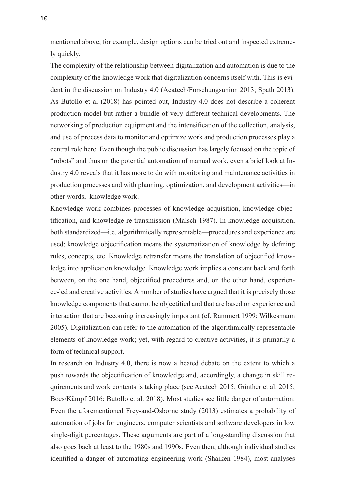mentioned above, for example, design options can be tried out and inspected extremely quickly.

The complexity of the relationship between digitalization and automation is due to the complexity of the knowledge work that digitalization concerns itself with. This is evident in the discussion on Industry 4.0 (Acatech/Forschungsunion 2013; Spath 2013). As Butollo et al (2018) has pointed out, Industry 4.0 does not describe a coherent production model but rather a bundle of very different technical developments. The networking of production equipment and the intensification of the collection, analysis, and use of process data to monitor and optimize work and production processes play a central role here. Even though the public discussion has largely focused on the topic of "robots" and thus on the potential automation of manual work, even a brief look at Industry 4.0 reveals that it has more to do with monitoring and maintenance activities in production processes and with planning, optimization, and development activities—in other words, knowledge work.

Knowledge work combines processes of knowledge acquisition, knowledge objectification, and knowledge re-transmission (Malsch 1987). In knowledge acquisition, both standardized—i.e. algorithmically representable—procedures and experience are used; knowledge objectification means the systematization of knowledge by defining rules, concepts, etc. Knowledge retransfer means the translation of objectified knowledge into application knowledge. Knowledge work implies a constant back and forth between, on the one hand, objectified procedures and, on the other hand, experience-led and creative activities. A number of studies have argued that it is precisely those knowledge components that cannot be objectified and that are based on experience and interaction that are becoming increasingly important (cf. Rammert 1999; Wilkesmann 2005). Digitalization can refer to the automation of the algorithmically representable elements of knowledge work; yet, with regard to creative activities, it is primarily a form of technical support.

In research on Industry 4.0, there is now a heated debate on the extent to which a push towards the objectification of knowledge and, accordingly, a change in skill requirements and work contents is taking place (see Acatech 2015; Günther et al. 2015; Boes/Kämpf 2016; Butollo et al. 2018). Most studies see little danger of automation: Even the aforementioned Frey-and-Osborne study (2013) estimates a probability of automation of jobs for engineers, computer scientists and software developers in low single-digit percentages. These arguments are part of a long-standing discussion that also goes back at least to the 1980s and 1990s. Even then, although individual studies identified a danger of automating engineering work (Shaiken 1984), most analyses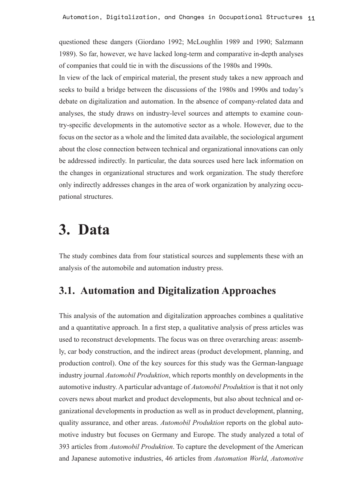questioned these dangers (Giordano 1992; McLoughlin 1989 and 1990; Salzmann 1989). So far, however, we have lacked long-term and comparative in-depth analyses of companies that could tie in with the discussions of the 1980s and 1990s.

In view of the lack of empirical material, the present study takes a new approach and seeks to build a bridge between the discussions of the 1980s and 1990s and today's debate on digitalization and automation. In the absence of company-related data and analyses, the study draws on industry-level sources and attempts to examine country-specific developments in the automotive sector as a whole. However, due to the focus on the sector as a whole and the limited data available, the sociological argument about the close connection between technical and organizational innovations can only be addressed indirectly. In particular, the data sources used here lack information on the changes in organizational structures and work organization. The study therefore only indirectly addresses changes in the area of work organization by analyzing occupational structures.

# **3. Data**

The study combines data from four statistical sources and supplements these with an analysis of the automobile and automation industry press.

### **3.1. Automation and Digitalization Approaches**

This analysis of the automation and digitalization approaches combines a qualitative and a quantitative approach. In a first step, a qualitative analysis of press articles was used to reconstruct developments. The focus was on three overarching areas: assembly, car body construction, and the indirect areas (product development, planning, and production control). One of the key sources for this study was the German-language industry journal *Automobil Produktion*, which reports monthly on developments in the automotive industry. A particular advantage of *Automobil Produktion* is that it not only covers news about market and product developments, but also about technical and organizational developments in production as well as in product development, planning, quality assurance, and other areas. *Automobil Produktion* reports on the global automotive industry but focuses on Germany and Europe. The study analyzed a total of 393 articles from *Automobil Produktion*. To capture the development of the American and Japanese automotive industries, 46 articles from *Automation World*, *Automotive*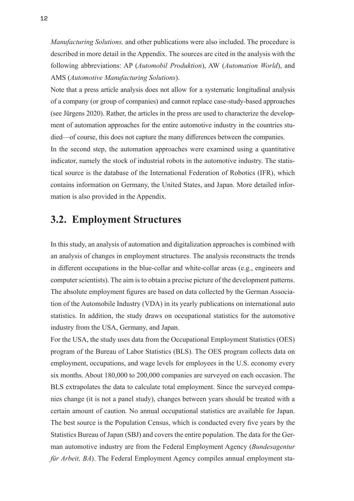*Manufacturing Solutions,* and other publications were also included. The procedure is described in more detail in the Appendix. The sources are cited in the analysis with the following abbreviations: AP (*Automobil Produktion*), AW (*Automation World*), and AMS (*Automotive Manufacturing Solutions*).

Note that a press article analysis does not allow for a systematic longitudinal analysis of a company (or group of companies) and cannot replace case-study-based approaches (see Jürgens 2020). Rather, the articles in the press are used to characterize the development of automation approaches for the entire automotive industry in the countries studied—of course, this does not capture the many differences between the companies. In the second step, the automation approaches were examined using a quantitative indicator, namely the stock of industrial robots in the automotive industry. The statistical source is the database of the International Federation of Robotics (IFR), which contains information on Germany, the United States, and Japan. More detailed information is also provided in the Appendix.

#### **3.2. Employment Structures**

In this study, an analysis of automation and digitalization approaches is combined with an analysis of changes in employment structures. The analysis reconstructs the trends in different occupations in the blue-collar and white-collar areas (e.g., engineers and computer scientists). The aim is to obtain a precise picture of the development patterns. The absolute employment figures are based on data collected by the German Association of the Automobile Industry (VDA) in its yearly publications on international auto statistics. In addition, the study draws on occupational statistics for the automotive industry from the USA, Germany, and Japan.

For the USA, the study uses data from the Occupational Employment Statistics (OES) program of the Bureau of Labor Statistics (BLS). The OES program collects data on employment, occupations, and wage levels for employees in the U.S. economy every six months. About 180,000 to 200,000 companies are surveyed on each occasion. The BLS extrapolates the data to calculate total employment. Since the surveyed companies change (it is not a panel study), changes between years should be treated with a certain amount of caution. No annual occupational statistics are available for Japan. The best source is the Population Census, which is conducted every five years by the Statistics Bureau of Japan (SBJ) and covers the entire population. The data for the German automotive industry are from the Federal Employment Agency (*Bundesagentur für Arbeit, BA*). The Federal Employment Agency compiles annual employment sta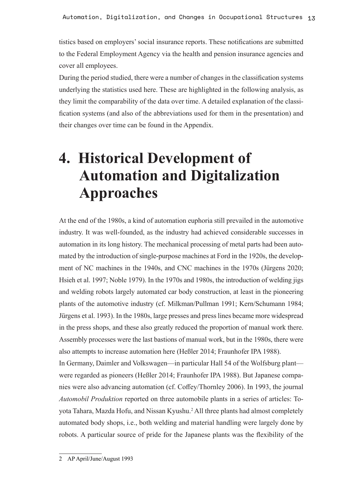tistics based on employers' social insurance reports. These notifications are submitted to the Federal Employment Agency via the health and pension insurance agencies and cover all employees.

During the period studied, there were a number of changes in the classification systems underlying the statistics used here. These are highlighted in the following analysis, as they limit the comparability of the data over time. A detailed explanation of the classification systems (and also of the abbreviations used for them in the presentation) and their changes over time can be found in the Appendix.

# **4. Historical Development of Automation and Digitalization Approaches**

At the end of the 1980s, a kind of automation euphoria still prevailed in the automotive industry. It was well-founded, as the industry had achieved considerable successes in automation in its long history. The mechanical processing of metal parts had been automated by the introduction of single-purpose machines at Ford in the 1920s, the development of NC machines in the 1940s, and CNC machines in the 1970s (Jürgens 2020; Hsieh et al. 1997; Noble 1979). In the 1970s and 1980s, the introduction of welding jigs and welding robots largely automated car body construction, at least in the pioneering plants of the automotive industry (cf. Milkman/Pullman 1991; Kern/Schumann 1984; Jürgens et al. 1993). In the 1980s, large presses and press lines became more widespread in the press shops, and these also greatly reduced the proportion of manual work there. Assembly processes were the last bastions of manual work, but in the 1980s, there were also attempts to increase automation here (Heßler 2014; Fraunhofer IPA 1988).

In Germany, Daimler and Volkswagen—in particular Hall 54 of the Wolfsburg plant were regarded as pioneers (Heßler 2014; Fraunhofer IPA 1988). But Japanese companies were also advancing automation (cf. Coffey/Thornley 2006). In 1993, the journal *Automobil Produktion* reported on three automobile plants in a series of articles: Toyota Tahara, Mazda Hofu, and Nissan Kyushu.2 All three plants had almost completely automated body shops, i.e., both welding and material handling were largely done by robots. A particular source of pride for the Japanese plants was the flexibility of the

<sup>2</sup> AP April/June/August 1993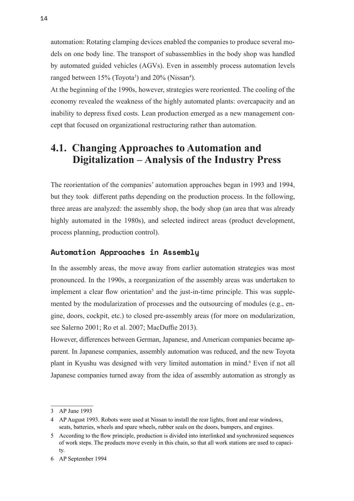automation: Rotating clamping devices enabled the companies to produce several models on one body line. The transport of subassemblies in the body shop was handled by automated guided vehicles (AGVs). Even in assembly process automation levels ranged between 15% (Toyota<sup>3</sup>) and 20% (Nissan<sup>4</sup>).

At the beginning of the 1990s, however, strategies were reoriented. The cooling of the economy revealed the weakness of the highly automated plants: overcapacity and an inability to depress fixed costs. Lean production emerged as a new management concept that focused on organizational restructuring rather than automation.

### **4.1. Changing Approaches to Automation and Digitalization – Analysis of the Industry Press**

The reorientation of the companies' automation approaches began in 1993 and 1994, but they took different paths depending on the production process. In the following, three areas are analyzed: the assembly shop, the body shop (an area that was already highly automated in the 1980s), and selected indirect areas (product development, process planning, production control).

#### **Automation Approaches in Assembly**

In the assembly areas, the move away from earlier automation strategies was most pronounced. In the 1990s, a reorganization of the assembly areas was undertaken to implement a clear flow orientation<sup>5</sup> and the just-in-time principle. This was supplemented by the modularization of processes and the outsourcing of modules (e.g., engine, doors, cockpit, etc.) to closed pre-assembly areas (for more on modularization, see Salerno 2001; Ro et al. 2007; MacDuffie 2013).

However, differences between German, Japanese, and American companies became apparent. In Japanese companies, assembly automation was reduced, and the new Toyota plant in Kyushu was designed with very limited automation in mind.<sup>6</sup> Even if not all Japanese companies turned away from the idea of assembly automation as strongly as

<sup>3</sup> AP June 1993

<sup>4</sup> AP August 1993. Robots were used at Nissan to install the rear lights, front and rear windows, seats, batteries, wheels and spare wheels, rubber seals on the doors, bumpers, and engines.

<sup>5</sup> According to the flow principle, production is divided into interlinked and synchronized sequences of work steps. The products move evenly in this chain, so that all work stations are used to capacity.

<sup>6</sup> AP September 1994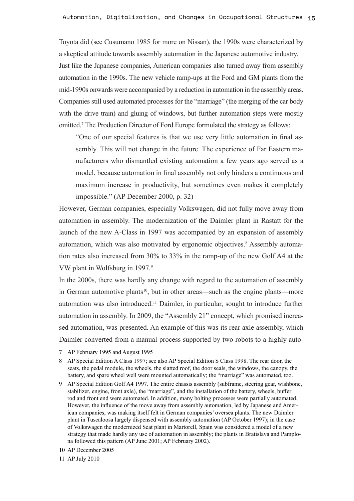Toyota did (see Cusumano 1985 for more on Nissan), the 1990s were characterized by a skeptical attitude towards assembly automation in the Japanese automotive industry. Just like the Japanese companies, American companies also turned away from assembly automation in the 1990s. The new vehicle ramp-ups at the Ford and GM plants from the mid-1990s onwards were accompanied by a reduction in automation in the assembly areas. Companies still used automated processes for the "marriage" (the merging of the car body with the drive train) and gluing of windows, but further automation steps were mostly omitted.<sup>7</sup> The Production Director of Ford Europe formulated the strategy as follows:

"One of our special features is that we use very little automation in final assembly. This will not change in the future. The experience of Far Eastern manufacturers who dismantled existing automation a few years ago served as a model, because automation in final assembly not only hinders a continuous and maximum increase in productivity, but sometimes even makes it completely impossible." (AP December 2000, p. 32)

However, German companies, especially Volkswagen, did not fully move away from automation in assembly. The modernization of the Daimler plant in Rastatt for the launch of the new A-Class in 1997 was accompanied by an expansion of assembly automation, which was also motivated by ergonomic objectives.<sup>8</sup> Assembly automation rates also increased from 30% to 33% in the ramp-up of the new Golf A4 at the VW plant in Wolfsburg in 1997.<sup>9</sup>

In the 2000s, there was hardly any change with regard to the automation of assembly in German automotive plants<sup>10</sup>, but in other areas—such as the engine plants—more automation was also introduced.11 Daimler, in particular, sought to introduce further automation in assembly. In 2009, the "Assembly 21" concept, which promised increased automation, was presented. An example of this was its rear axle assembly, which Daimler converted from a manual process supported by two robots to a highly auto-

<sup>7</sup> AP February 1995 and August 1995

<sup>8</sup> AP Special Edition A Class 1997; see also AP Special Edition S Class 1998. The rear door, the seats, the pedal module, the wheels, the slatted roof, the door seals, the windows, the canopy, the battery, and spare wheel well were mounted automatically; the "marriage" was automated, too.

<sup>9</sup> AP Special Edition Golf A4 1997. The entire chassis assembly (subframe, steering gear, wishbone, stabilizer, engine, front axle), the "marriage", and the installation of the battery, wheels, buffer rod and front end were automated. In addition, many bolting processes were partially automated. However, the influence of the move away from assembly automation, led by Japanese and American companies, was making itself felt in German companies' oversea plants. The new Daimler plant in Tuscaloosa largely dispensed with assembly automation (AP October 1997); in the case of Volkswagen the modernized Seat plant in Martorell, Spain was considered a model of a new strategy that made hardly any use of automation in assembly; the plants in Bratislava and Pamplona followed this pattern (AP June 2001; AP February 2002).

<sup>10</sup> AP December 2005

<sup>11</sup> AP July 2010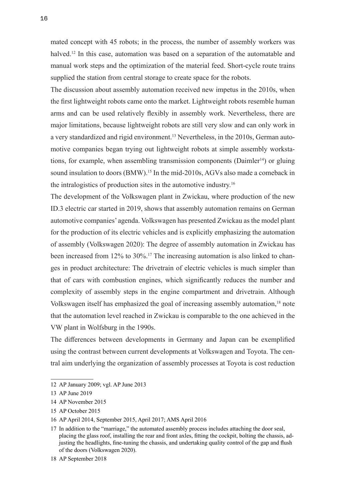mated concept with 45 robots; in the process, the number of assembly workers was halved.<sup>12</sup> In this case, automation was based on a separation of the automatable and manual work steps and the optimization of the material feed. Short-cycle route trains supplied the station from central storage to create space for the robots.

The discussion about assembly automation received new impetus in the 2010s, when the first lightweight robots came onto the market. Lightweight robots resemble human arms and can be used relatively flexibly in assembly work. Nevertheless, there are major limitations, because lightweight robots are still very slow and can only work in a very standardized and rigid environment.<sup>13</sup> Nevertheless, in the 2010s, German automotive companies began trying out lightweight robots at simple assembly workstations, for example, when assembling transmission components ( $Daimler<sup>14</sup>$ ) or gluing sound insulation to doors (BMW).<sup>15</sup> In the mid-2010s, AGVs also made a comeback in the intralogistics of production sites in the automotive industry.<sup>16</sup>

The development of the Volkswagen plant in Zwickau, where production of the new ID.3 electric car started in 2019, shows that assembly automation remains on German automotive companies' agenda. Volkswagen has presented Zwickau as the model plant for the production of its electric vehicles and is explicitly emphasizing the automation of assembly (Volkswagen 2020): The degree of assembly automation in Zwickau has been increased from 12% to 30%.<sup>17</sup> The increasing automation is also linked to changes in product architecture: The drivetrain of electric vehicles is much simpler than that of cars with combustion engines, which significantly reduces the number and complexity of assembly steps in the engine compartment and drivetrain. Although Volkswagen itself has emphasized the goal of increasing assembly automation,18 note that the automation level reached in Zwickau is comparable to the one achieved in the VW plant in Wolfsburg in the 1990s.

The differences between developments in Germany and Japan can be exemplified using the contrast between current developments at Volkswagen and Toyota. The central aim underlying the organization of assembly processes at Toyota is cost reduction

<sup>12</sup> AP January 2009; vgl. AP June 2013

<sup>13</sup> AP June 2019

<sup>14</sup> AP November 2015

<sup>15</sup> AP October 2015

<sup>16</sup> AP April 2014, September 2015, April 2017; AMS April 2016

<sup>17</sup> In addition to the "marriage," the automated assembly process includes attaching the door seal, placing the glass roof, installing the rear and front axles, fitting the cockpit, bolting the chassis, adjusting the headlights, fine-tuning the chassis, and undertaking quality control of the gap and flush of the doors (Volkswagen 2020).

<sup>18</sup> AP September 2018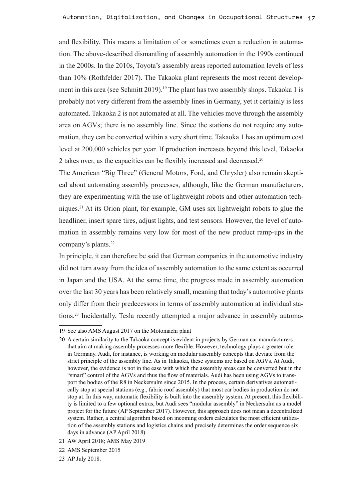and flexibility. This means a limitation of or sometimes even a reduction in automation. The above-described dismantling of assembly automation in the 1990s continued in the 2000s. In the 2010s, Toyota's assembly areas reported automation levels of less than 10% (Rothfelder 2017). The Takaoka plant represents the most recent development in this area (see Schmitt 2019).<sup>19</sup> The plant has two assembly shops. Takaoka 1 is probably not very different from the assembly lines in Germany, yet it certainly is less automated. Takaoka 2 is not automated at all. The vehicles move through the assembly area on AGVs; there is no assembly line. Since the stations do not require any automation, they can be converted within a very short time. Takaoka 1 has an optimum cost level at 200,000 vehicles per year. If production increases beyond this level, Takaoka 2 takes over, as the capacities can be flexibly increased and decreased.<sup>20</sup>

The American "Big Three" (General Motors, Ford, and Chrysler) also remain skeptical about automating assembly processes, although, like the German manufacturers, they are experimenting with the use of lightweight robots and other automation techniques.21 At its Orion plant, for example, GM uses six lightweight robots to glue the headliner, insert spare tires, adjust lights, and test sensors. However, the level of automation in assembly remains very low for most of the new product ramp-ups in the company's plants.<sup>22</sup>

In principle, it can therefore be said that German companies in the automotive industry did not turn away from the idea of assembly automation to the same extent as occurred in Japan and the USA. At the same time, the progress made in assembly automation over the last 30 years has been relatively small, meaning that today's automotive plants only differ from their predecessors in terms of assembly automation at individual stations.23 Incidentally, Tesla recently attempted a major advance in assembly automa-

<sup>19</sup> See also AMS August 2017 on the Motomachi plant

<sup>20</sup> A certain similarity to the Takaoka concept is evident in projects by German car manufacturers that aim at making assembly processes more flexible. However, technology plays a greater role in Germany. Audi, for instance, is working on modular assembly concepts that deviate from the strict principle of the assembly line. As in Takaoka, these systems are based on AGVs. At Audi, however, the evidence is not in the ease with which the assembly areas can be converted but in the "smart" control of the AGVs and thus the flow of materials. Audi has been using AGVs to transport the bodies of the R8 in Neckersulm since 2015. In the process, certain derivatives automatically stop at special stations (e.g., fabric roof assembly) that most car bodies in production do not stop at. In this way, automatic flexibility is built into the assembly system. At present, this flexibility is limited to a few optional extras, but Audi sees "modular assembly" in Neckersulm as a model project for the future (AP September 2017). However, this approach does not mean a decentralized system. Rather, a central algorithm based on incoming orders calculates the most efficient utilization of the assembly stations and logistics chains and precisely determines the order sequence six days in advance (AP April 2018).

<sup>21</sup> AW April 2018; AMS May 2019

<sup>22</sup> AMS September 2015

<sup>23</sup> AP July 2018.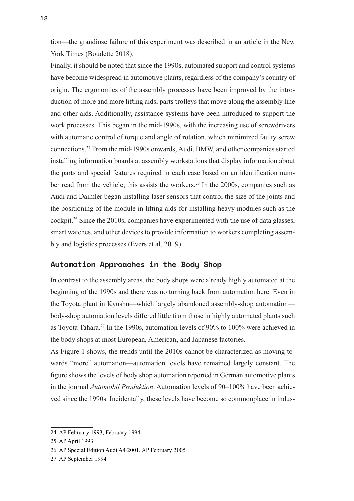tion—the grandiose failure of this experiment was described in an article in the New York Times (Boudette 2018).

Finally, it should be noted that since the 1990s, automated support and control systems have become widespread in automotive plants, regardless of the company's country of origin. The ergonomics of the assembly processes have been improved by the introduction of more and more lifting aids, parts trolleys that move along the assembly line and other aids. Additionally, assistance systems have been introduced to support the work processes. This began in the mid-1990s, with the increasing use of screwdrivers with automatic control of torque and angle of rotation, which minimized faulty screw connections.24 From the mid-1990s onwards, Audi, BMW, and other companies started installing information boards at assembly workstations that display information about the parts and special features required in each case based on an identification number read from the vehicle; this assists the workers.<sup>25</sup> In the 2000s, companies such as Audi and Daimler began installing laser sensors that control the size of the joints and the positioning of the module in lifting aids for installing heavy modules such as the cockpit.<sup>26</sup> Since the 2010s, companies have experimented with the use of data glasses, smart watches, and other devices to provide information to workers completing assembly and logistics processes (Evers et al. 2019).

#### **Automation Approaches in the Body Shop**

In contrast to the assembly areas, the body shops were already highly automated at the beginning of the 1990s and there was no turning back from automation here. Even in the Toyota plant in Kyushu—which largely abandoned assembly-shop automation body-shop automation levels differed little from those in highly automated plants such as Toyota Tahara.<sup>27</sup> In the 1990s, automation levels of 90% to 100% were achieved in the body shops at most European, American, and Japanese factories.

As Figure 1 shows, the trends until the 2010s cannot be characterized as moving towards "more" automation—automation levels have remained largely constant. The figure shows the levels of body shop automation reported in German automotive plants in the journal *Automobil Produktion*. Automation levels of 90–100% have been achieved since the 1990s. Incidentally, these levels have become so commonplace in indus-

<sup>24</sup> AP February 1993, February 1994

<sup>25</sup> AP April 1993

<sup>26</sup> AP Special Edition Audi A4 2001, AP February 2005

<sup>27</sup> AP September 1994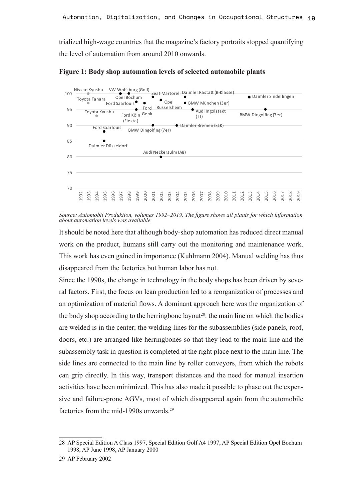trialized high-wage countries that the magazine's factory portraits stopped quantifying the level of automation from around 2010 onwards.



**Figure 1: Body shop automation levels of selected automobile plants** Figure 1: Body shop automation levels of selected automobile plants

Source: Automobil Produktion, volumes 1992–2019. The figure shows all plants for which information about automation levels was available. *about automation levels was available.*

It should be noted here that although body-shop automation has reduced direct manual work on the product, humans still carry out the monitoring and maintenance work. This work has even gained in importance (Kuhlmann 2004). Manual welding has thus disappeared from the factories but human labor has not.

Since the 1990s, the change in technology in the body shops has been driven by several factors. First, the focus on lean production led to a reorganization of processes and an optimization of material flows. A dominant approach here was the organization of the body shop according to the herringbone layout<sup>28</sup>: the main line on which the bodies are welded is in the center; the welding lines for the subassemblies (side panels, roof, doors, etc.) are arranged like herringbones so that they lead to the main line and the subassembly task in question is completed at the right place next to the main line. The side lines are connected to the main line by roller conveyors, from which the robots can grip directly. In this way, transport distances and the need for manual insertion activities have been minimized. This has also made it possible to phase out the expensive and failure-prone AGVs, most of which disappeared again from the automobile factories from the mid-1990s onwards.<sup>29</sup>

<sup>28</sup> AP Special Edition A Class 1997, Special Edition Golf A4 1997, AP Special Edition Opel Bochum 1998, AP June 1998, AP January 2000

<sup>29</sup> AP February 2002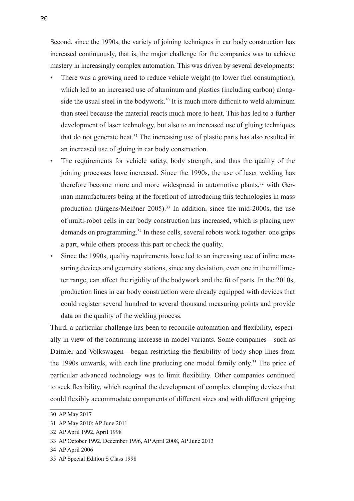Second, since the 1990s, the variety of joining techniques in car body construction has increased continuously, that is, the major challenge for the companies was to achieve mastery in increasingly complex automation. This was driven by several developments:

- There was a growing need to reduce vehicle weight (to lower fuel consumption), which led to an increased use of aluminum and plastics (including carbon) alongside the usual steel in the bodywork.<sup>30</sup> It is much more difficult to weld aluminum than steel because the material reacts much more to heat. This has led to a further development of laser technology, but also to an increased use of gluing techniques that do not generate heat.31 The increasing use of plastic parts has also resulted in an increased use of gluing in car body construction.
- The requirements for vehicle safety, body strength, and thus the quality of the joining processes have increased. Since the 1990s, the use of laser welding has therefore become more and more widespread in automotive plants, $32$  with German manufacturers being at the forefront of introducing this technologies in mass production (Jürgens/Meißner 2005).<sup>33</sup> In addition, since the mid-2000s, the use of multi-robot cells in car body construction has increased, which is placing new demands on programming.<sup>34</sup> In these cells, several robots work together: one grips a part, while others process this part or check the quality.
- Since the 1990s, quality requirements have led to an increasing use of inline measuring devices and geometry stations, since any deviation, even one in the millimeter range, can affect the rigidity of the bodywork and the fit of parts. In the 2010s, production lines in car body construction were already equipped with devices that could register several hundred to several thousand measuring points and provide data on the quality of the welding process.

Third, a particular challenge has been to reconcile automation and flexibility, especially in view of the continuing increase in model variants. Some companies—such as Daimler and Volkswagen—began restricting the flexibility of body shop lines from the 1990s onwards, with each line producing one model family only.<sup>35</sup> The price of particular advanced technology was to limit flexibility. Other companies continued to seek flexibility, which required the development of complex clamping devices that could flexibly accommodate components of different sizes and with different gripping

<sup>30</sup> AP May 2017

<sup>31</sup> AP May 2010; AP June 2011

<sup>32</sup> AP April 1992, April 1998

<sup>33</sup> AP October 1992, December 1996, AP April 2008, AP June 2013

<sup>34</sup> AP April 2006

<sup>35</sup> AP Special Edition S Class 1998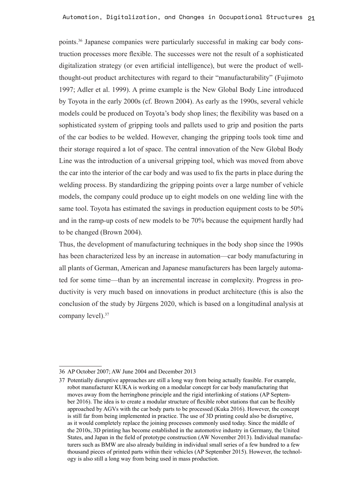points.36 Japanese companies were particularly successful in making car body construction processes more flexible. The successes were not the result of a sophisticated digitalization strategy (or even artificial intelligence), but were the product of wellthought-out product architectures with regard to their "manufacturability" (Fujimoto 1997; Adler et al. 1999). A prime example is the New Global Body Line introduced by Toyota in the early 2000s (cf. Brown 2004). As early as the 1990s, several vehicle models could be produced on Toyota's body shop lines; the flexibility was based on a sophisticated system of gripping tools and pallets used to grip and position the parts of the car bodies to be welded. However, changing the gripping tools took time and their storage required a lot of space. The central innovation of the New Global Body Line was the introduction of a universal gripping tool, which was moved from above the car into the interior of the car body and was used to fix the parts in place during the welding process. By standardizing the gripping points over a large number of vehicle models, the company could produce up to eight models on one welding line with the same tool. Toyota has estimated the savings in production equipment costs to be 50% and in the ramp-up costs of new models to be 70% because the equipment hardly had to be changed (Brown 2004).

Thus, the development of manufacturing techniques in the body shop since the 1990s has been characterized less by an increase in automation—car body manufacturing in all plants of German, American and Japanese manufacturers has been largely automated for some time—than by an incremental increase in complexity. Progress in productivity is very much based on innovations in product architecture (this is also the conclusion of the study by Jürgens 2020, which is based on a longitudinal analysis at company level).<sup>37</sup>

<sup>36</sup> AP October 2007; AW June 2004 and December 2013

<sup>37</sup> Potentially disruptive approaches are still a long way from being actually feasible. For example, robot manufacturer KUKA is working on a modular concept for car body manufacturing that moves away from the herringbone principle and the rigid interlinking of stations (AP September 2016). The idea is to create a modular structure of flexible robot stations that can be flexibly approached by AGVs with the car body parts to be processed (Kuka 2016). However, the concept is still far from being implemented in practice. The use of 3D printing could also be disruptive, as it would completely replace the joining processes commonly used today. Since the middle of the 2010s, 3D printing has become established in the automotive industry in Germany, the United States, and Japan in the field of prototype construction (AW November 2013). Individual manufacturers such as BMW are also already building in individual small series of a few hundred to a few thousand pieces of printed parts within their vehicles (AP September 2015). However, the technology is also still a long way from being used in mass production.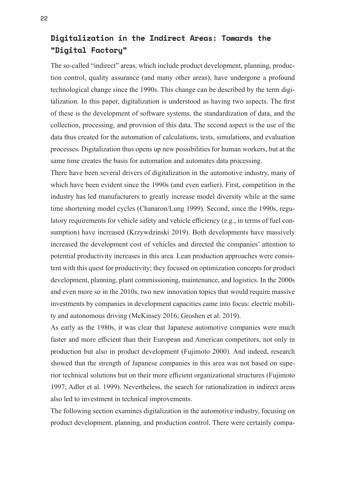#### **Digitalization in the Indirect Areas: Towards the "Digital Factory"**

The so-called "indirect" areas, which include product development, planning, production control, quality assurance (and many other areas), have undergone a profound technological change since the 1990s. This change can be described by the term digitalization. In this paper, digitalization is understood as having two aspects. The first of these is the development of software systems, the standardization of data, and the collection, processing, and provision of this data. The second aspect is the use of the data thus created for the automation of calculations, tests, simulations, and evaluation processes. Digitalization thus opens up new possibilities for human workers, but at the same time creates the basis for automation and automates data processing.

There have been several drivers of digitalization in the automotive industry, many of which have been evident since the 1990s (and even earlier). First, competition in the industry has led manufacturers to greatly increase model diversity while at the same time shortening model cycles (Chanaron/Lung 1999). Second, since the 1990s, regulatory requirements for vehicle safety and vehicle efficiency (e.g., in terms of fuel consumption) have increased (Krzywdzinski 2019). Both developments have massively increased the development cost of vehicles and directed the companies' attention to potential productivity increases in this area. Lean production approaches were consistent with this quest for productivity; they focused on optimization concepts for product development, planning, plant commissioning, maintenance, and logistics. In the 2000s and even more so in the 2010s, two new innovation topics that would require massive investments by companies in development capacities came into focus: electric mobility and autonomous driving (McKinsey 2016; Groshen et al. 2019).

As early as the 1980s, it was clear that Japanese automotive companies were much faster and more efficient than their European and American competitors, not only in production but also in product development (Fujimoto 2000). And indeed, research showed that the strength of Japanese companies in this area was not based on superior technical solutions but on their more efficient organizational structures (Fujimoto 1997; Adler et al. 1999). Nevertheless, the search for rationalization in indirect areas also led to investment in technical improvements.

The following section examines digitalization in the automotive industry, focusing on product development, planning, and production control. There were certainly compa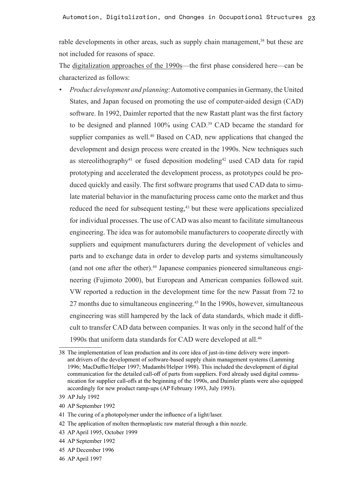rable developments in other areas, such as supply chain management,<sup>38</sup> but these are not included for reasons of space.

The digitalization approaches of the 1990s—the first phase considered here—can be characterized as follows:

*• Product development and planning*: Automotive companies in Germany, the United States, and Japan focused on promoting the use of computer-aided design (CAD) software. In 1992, Daimler reported that the new Rastatt plant was the first factory to be designed and planned 100% using CAD.39 CAD became the standard for supplier companies as well.<sup>40</sup> Based on CAD, new applications that changed the development and design process were created in the 1990s. New techniques such as stereolithography<sup>41</sup> or fused deposition modeling<sup>42</sup> used CAD data for rapid prototyping and accelerated the development process, as prototypes could be produced quickly and easily. The first software programs that used CAD data to simulate material behavior in the manufacturing process came onto the market and thus reduced the need for subsequent testing,<sup>43</sup> but these were applications specialized for individual processes. The use of CAD was also meant to facilitate simultaneous engineering. The idea was for automobile manufacturers to cooperate directly with suppliers and equipment manufacturers during the development of vehicles and parts and to exchange data in order to develop parts and systems simultaneously (and not one after the other).<sup>44</sup> Japanese companies pioneered simultaneous engineering (Fujimoto 2000), but European and American companies followed suit. VW reported a reduction in the development time for the new Passat from 72 to 27 months due to simultaneous engineering.45 In the 1990s, however, simultaneous engineering was still hampered by the lack of data standards, which made it difficult to transfer CAD data between companies. It was only in the second half of the 1990s that uniform data standards for CAD were developed at all.<sup>46</sup>

40 AP September 1992

- 42 The application of molten thermoplastic raw material through a thin nozzle.
- 43 AP April 1995, October 1999
- 44 AP September 1992

<sup>38</sup> The implementation of lean production and its core idea of just-in-time delivery were important drivers of the development of software-based supply chain management systems (Lamming 1996; MacDuffie/Helper 1997; Mudambi/Helper 1998). This included the development of digital communication for the detailed call-off of parts from suppliers. Ford already used digital communication for supplier call-offs at the beginning of the 1990s, and Daimler plants were also equipped accordingly for new product ramp-ups (AP February 1993, July 1993).

<sup>39</sup> AP July 1992

<sup>41</sup> The curing of a photopolymer under the influence of a light/laser.

<sup>45</sup> AP December 1996

<sup>46</sup> AP April 1997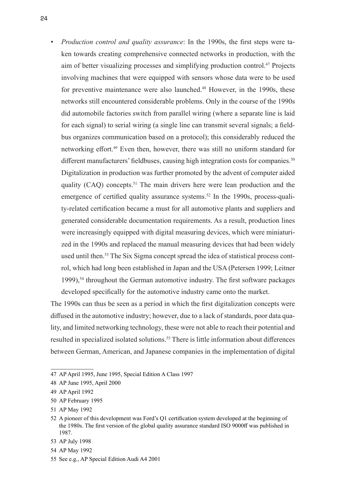*• Production control and quality assurance*: In the 1990s, the first steps were taken towards creating comprehensive connected networks in production, with the aim of better visualizing processes and simplifying production control.<sup>47</sup> Projects involving machines that were equipped with sensors whose data were to be used for preventive maintenance were also launched.<sup>48</sup> However, in the 1990s, these networks still encountered considerable problems. Only in the course of the 1990s did automobile factories switch from parallel wiring (where a separate line is laid for each signal) to serial wiring (a single line can transmit several signals; a fieldbus organizes communication based on a protocol); this considerably reduced the networking effort.49 Even then, however, there was still no uniform standard for different manufacturers' fieldbuses, causing high integration costs for companies.<sup>50</sup> Digitalization in production was further promoted by the advent of computer aided quality (CAQ) concepts.<sup>51</sup> The main drivers here were lean production and the emergence of certified quality assurance systems.<sup>52</sup> In the 1990s, process-quality-related certification became a must for all automotive plants and suppliers and generated considerable documentation requirements. As a result, production lines were increasingly equipped with digital measuring devices, which were miniaturized in the 1990s and replaced the manual measuring devices that had been widely used until then.<sup>53</sup> The Six Sigma concept spread the idea of statistical process control, which had long been established in Japan and the USA (Petersen 1999; Leitner 1999),<sup>54</sup> throughout the German automotive industry. The first software packages developed specifically for the automotive industry came onto the market.

The 1990s can thus be seen as a period in which the first digitalization concepts were diffused in the automotive industry; however, due to a lack of standards, poor data quality, and limited networking technology, these were not able to reach their potential and resulted in specialized isolated solutions.<sup>55</sup> There is little information about differences between German, American, and Japanese companies in the implementation of digital

<sup>47</sup> AP April 1995, June 1995, Special Edition A Class 1997

<sup>48</sup> AP June 1995, April 2000

<sup>49</sup> AP April 1992

<sup>50</sup> AP February 1995

<sup>51</sup> AP May 1992

<sup>52</sup> A pioneer of this development was Ford's Q1 certification system developed at the beginning of the 1980s. The first version of the global quality assurance standard ISO 9000ff was published in 1987.

<sup>53</sup> AP July 1998

<sup>54</sup> AP May 1992

<sup>55</sup> See e.g., AP Special Edition Audi A4 2001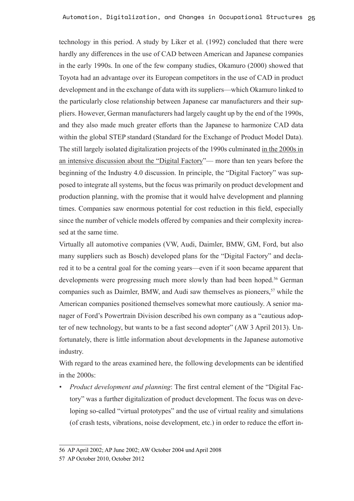technology in this period. A study by Liker et al. (1992) concluded that there were hardly any differences in the use of CAD between American and Japanese companies in the early 1990s. In one of the few company studies, Okamuro (2000) showed that Toyota had an advantage over its European competitors in the use of CAD in product development and in the exchange of data with its suppliers—which Okamuro linked to the particularly close relationship between Japanese car manufacturers and their suppliers. However, German manufacturers had largely caught up by the end of the 1990s, and they also made much greater efforts than the Japanese to harmonize CAD data within the global STEP standard (Standard for the Exchange of Product Model Data). The still largely isolated digitalization projects of the 1990s culminated in the 2000s in an intensive discussion about the "Digital Factory"— more than ten years before the beginning of the Industry 4.0 discussion. In principle, the "Digital Factory" was supposed to integrate all systems, but the focus was primarily on product development and production planning, with the promise that it would halve development and planning times. Companies saw enormous potential for cost reduction in this field, especially since the number of vehicle models offered by companies and their complexity increased at the same time.

Virtually all automotive companies (VW, Audi, Daimler, BMW, GM, Ford, but also many suppliers such as Bosch) developed plans for the "Digital Factory" and declared it to be a central goal for the coming years—even if it soon became apparent that developments were progressing much more slowly than had been hoped.<sup>56</sup> German companies such as Daimler, BMW, and Audi saw themselves as pioneers,<sup>57</sup> while the American companies positioned themselves somewhat more cautiously. A senior manager of Ford's Powertrain Division described his own company as a "cautious adopter of new technology, but wants to be a fast second adopter" (AW 3 April 2013). Unfortunately, there is little information about developments in the Japanese automotive industry.

With regard to the areas examined here, the following developments can be identified in the 2000s:

*• Product development and planning*: The first central element of the "Digital Factory" was a further digitalization of product development. The focus was on developing so-called "virtual prototypes" and the use of virtual reality and simulations (of crash tests, vibrations, noise development, etc.) in order to reduce the effort in-

<sup>56</sup> AP April 2002; AP June 2002; AW October 2004 und April 2008

<sup>57</sup> AP October 2010, October 2012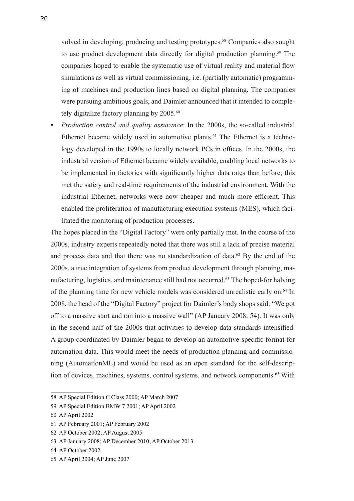volved in developing, producing and testing prototypes.<sup>58</sup> Companies also sought to use product development data directly for digital production planning.<sup>59</sup> The companies hoped to enable the systematic use of virtual reality and material flow simulations as well as virtual commissioning, i.e. (partially automatic) programming of machines and production lines based on digital planning. The companies were pursuing ambitious goals, and Daimler announced that it intended to completely digitalize factory planning by 2005.<sup>60</sup>

*• Production control and quality assurance*: In the 2000s, the so-called industrial Ethernet became widely used in automotive plants.<sup>61</sup> The Ethernet is a technology developed in the 1990s to locally network PCs in offices. In the 2000s, the industrial version of Ethernet became widely available, enabling local networks to be implemented in factories with significantly higher data rates than before; this met the safety and real-time requirements of the industrial environment. With the industrial Ethernet, networks were now cheaper and much more efficient. This enabled the proliferation of manufacturing execution systems (MES), which facilitated the monitoring of production processes.

The hopes placed in the "Digital Factory" were only partially met. In the course of the 2000s, industry experts repeatedly noted that there was still a lack of precise material and process data and that there was no standardization of data.<sup>62</sup> By the end of the 2000s, a true integration of systems from product development through planning, manufacturing, logistics, and maintenance still had not occurred.<sup>63</sup> The hoped-for halving of the planning time for new vehicle models was considered unrealistic early on.<sup>64</sup> In 2008, the head of the "Digital Factory" project for Daimler's body shops said: "We got off to a massive start and ran into a massive wall" (AP January 2008: 54). It was only in the second half of the 2000s that activities to develop data standards intensified. A group coordinated by Daimler began to develop an automotive-specific format for automation data. This would meet the needs of production planning and commissioning (AutomationML) and would be used as an open standard for the self-description of devices, machines, systems, control systems, and network components.<sup>65</sup> With

<sup>58</sup> AP Special Edition C Class 2000; AP March 2007

<sup>59</sup> AP Special Edition BMW 7 2001; AP April 2002

<sup>60</sup> AP April 2002

<sup>61</sup> AP February 2001; AP February 2002

<sup>62</sup> AP October 2002; AP August 2005

<sup>63</sup> AP January 2008; AP December 2010; AP October 2013

<sup>64</sup> AP October 2002

<sup>65</sup> AP April 2004; AP June 2007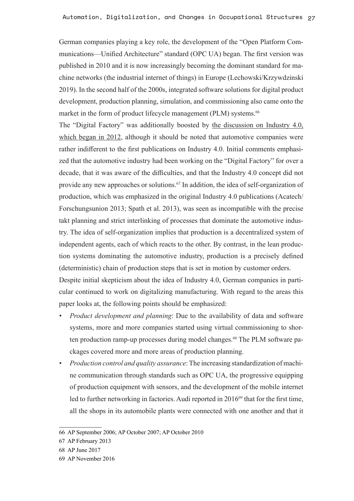German companies playing a key role, the development of the "Open Platform Communications—Unified Architecture" standard (OPC UA) began. The first version was published in 2010 and it is now increasingly becoming the dominant standard for machine networks (the industrial internet of things) in Europe (Lechowski/Krzywdzinski 2019). In the second half of the 2000s, integrated software solutions for digital product development, production planning, simulation, and commissioning also came onto the market in the form of product lifecycle management (PLM) systems.<sup>66</sup>

The "Digital Factory" was additionally boosted by the discussion on Industry 4.0, which began in 2012, although it should be noted that automotive companies were rather indifferent to the first publications on Industry 4.0. Initial comments emphasized that the automotive industry had been working on the "Digital Factory" for over a decade, that it was aware of the difficulties, and that the Industry 4.0 concept did not provide any new approaches or solutions.<sup>67</sup> In addition, the idea of self-organization of production, which was emphasized in the original Industry 4.0 publications (Acatech/ Forschungsunion 2013; Spath et al. 2013), was seen as incompatible with the precise takt planning and strict interlinking of processes that dominate the automotive industry. The idea of self-organization implies that production is a decentralized system of independent agents, each of which reacts to the other. By contrast, in the lean production systems dominating the automotive industry, production is a precisely defined (deterministic) chain of production steps that is set in motion by customer orders.

Despite initial skepticism about the idea of Industry 4.0, German companies in particular continued to work on digitalizing manufacturing. With regard to the areas this paper looks at, the following points should be emphasized:

- *• Product development and planning*: Due to the availability of data and software systems, more and more companies started using virtual commissioning to shorten production ramp-up processes during model changes.68 The PLM software packages covered more and more areas of production planning.
- *• Production control and quality assurance*: The increasing standardization of machine communication through standards such as OPC UA, the progressive equipping of production equipment with sensors, and the development of the mobile internet led to further networking in factories. Audi reported in 2016<sup>69</sup> that for the first time, all the shops in its automobile plants were connected with one another and that it

<sup>66</sup> AP September 2006; AP October 2007; AP October 2010

<sup>67</sup> AP February 2013

<sup>68</sup> AP June 2017

<sup>69</sup> AP November 2016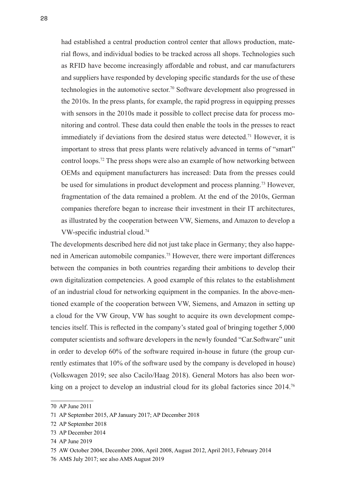had established a central production control center that allows production, material flows, and individual bodies to be tracked across all shops. Technologies such as RFID have become increasingly affordable and robust, and car manufacturers and suppliers have responded by developing specific standards for the use of these technologies in the automotive sector.<sup>70</sup> Software development also progressed in the 2010s. In the press plants, for example, the rapid progress in equipping presses with sensors in the 2010s made it possible to collect precise data for process monitoring and control. These data could then enable the tools in the presses to react immediately if deviations from the desired status were detected.<sup>71</sup> However, it is important to stress that press plants were relatively advanced in terms of "smart" control loops.<sup>72</sup> The press shops were also an example of how networking between OEMs and equipment manufacturers has increased: Data from the presses could be used for simulations in product development and process planning.<sup>73</sup> However, fragmentation of the data remained a problem. At the end of the 2010s, German companies therefore began to increase their investment in their IT architectures, as illustrated by the cooperation between VW, Siemens, and Amazon to develop a VW-specific industrial cloud.74

The developments described here did not just take place in Germany; they also happened in American automobile companies.75 However, there were important differences between the companies in both countries regarding their ambitions to develop their own digitalization competencies. A good example of this relates to the establishment of an industrial cloud for networking equipment in the companies. In the above-mentioned example of the cooperation between VW, Siemens, and Amazon in setting up a cloud for the VW Group, VW has sought to acquire its own development competencies itself. This is reflected in the company's stated goal of bringing together 5,000 computer scientists and software developers in the newly founded "Car.Software" unit in order to develop 60% of the software required in-house in future (the group currently estimates that 10% of the software used by the company is developed in house) (Volkswagen 2019; see also Cacilo/Haag 2018). General Motors has also been working on a project to develop an industrial cloud for its global factories since 2014.<sup>76</sup>

<sup>70</sup> AP June 2011

<sup>71</sup> AP September 2015, AP January 2017; AP December 2018

<sup>72</sup> AP September 2018

<sup>73</sup> AP December 2014

<sup>74</sup> AP June 2019

<sup>75</sup> AW October 2004, December 2006, April 2008, August 2012, April 2013, February 2014

<sup>76</sup> AMS July 2017; see also AMS August 2019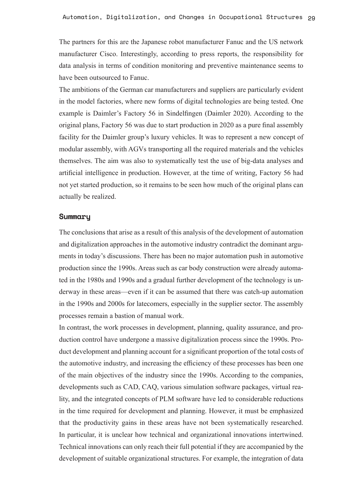The partners for this are the Japanese robot manufacturer Fanuc and the US network manufacturer Cisco. Interestingly, according to press reports, the responsibility for data analysis in terms of condition monitoring and preventive maintenance seems to have been outsourced to Fanuc.

The ambitions of the German car manufacturers and suppliers are particularly evident in the model factories, where new forms of digital technologies are being tested. One example is Daimler's Factory 56 in Sindelfingen (Daimler 2020). According to the original plans, Factory 56 was due to start production in 2020 as a pure final assembly facility for the Daimler group's luxury vehicles. It was to represent a new concept of modular assembly, with AGVs transporting all the required materials and the vehicles themselves. The aim was also to systematically test the use of big-data analyses and artificial intelligence in production. However, at the time of writing, Factory 56 had not yet started production, so it remains to be seen how much of the original plans can actually be realized.

#### **Summary**

The conclusions that arise as a result of this analysis of the development of automation and digitalization approaches in the automotive industry contradict the dominant arguments in today's discussions. There has been no major automation push in automotive production since the 1990s. Areas such as car body construction were already automated in the 1980s and 1990s and a gradual further development of the technology is underway in these areas—even if it can be assumed that there was catch-up automation in the 1990s and 2000s for latecomers, especially in the supplier sector. The assembly processes remain a bastion of manual work.

In contrast, the work processes in development, planning, quality assurance, and production control have undergone a massive digitalization process since the 1990s. Product development and planning account for a significant proportion of the total costs of the automotive industry, and increasing the efficiency of these processes has been one of the main objectives of the industry since the 1990s. According to the companies, developments such as CAD, CAQ, various simulation software packages, virtual reality, and the integrated concepts of PLM software have led to considerable reductions in the time required for development and planning. However, it must be emphasized that the productivity gains in these areas have not been systematically researched. In particular, it is unclear how technical and organizational innovations intertwined. Technical innovations can only reach their full potential if they are accompanied by the development of suitable organizational structures. For example, the integration of data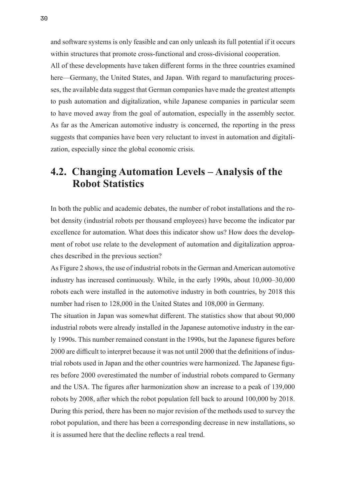and software systems is only feasible and can only unleash its full potential if it occurs within structures that promote cross-functional and cross-divisional cooperation.

All of these developments have taken different forms in the three countries examined here—Germany, the United States, and Japan. With regard to manufacturing processes, the available data suggest that German companies have made the greatest attempts to push automation and digitalization, while Japanese companies in particular seem to have moved away from the goal of automation, especially in the assembly sector. As far as the American automotive industry is concerned, the reporting in the press suggests that companies have been very reluctant to invest in automation and digitalization, especially since the global economic crisis.

### **4.2. Changing Automation Levels – Analysis of the Robot Statistics**

In both the public and academic debates, the number of robot installations and the robot density (industrial robots per thousand employees) have become the indicator par excellence for automation. What does this indicator show us? How does the development of robot use relate to the development of automation and digitalization approaches described in the previous section?

As Figure 2 shows, the use of industrial robots in the German and American automotive industry has increased continuously. While, in the early 1990s, about 10,000–30,000 robots each were installed in the automotive industry in both countries, by 2018 this number had risen to 128,000 in the United States and 108,000 in Germany.

The situation in Japan was somewhat different. The statistics show that about 90,000 industrial robots were already installed in the Japanese automotive industry in the early 1990s. This number remained constant in the 1990s, but the Japanese figures before 2000 are difficult to interpret because it was not until 2000 that the definitions of industrial robots used in Japan and the other countries were harmonized. The Japanese figures before 2000 overestimated the number of industrial robots compared to Germany and the USA. The figures after harmonization show an increase to a peak of 139,000 robots by 2008, after which the robot population fell back to around 100,000 by 2018. During this period, there has been no major revision of the methods used to survey the robot population, and there has been a corresponding decrease in new installations, so it is assumed here that the decline reflects a real trend.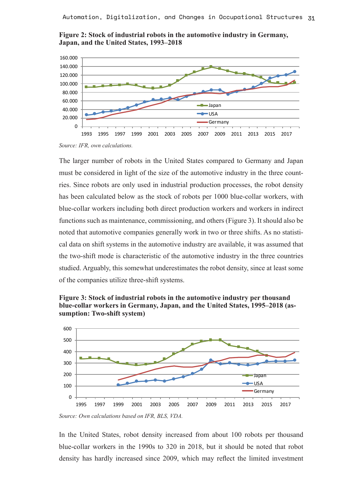



*Source: IFR, own calculations.*

The larger number of robots in the United States compared to Germany and Japan must be considered in light of the size of the automotive industry in the three countries. Since robots are only used in industrial production processes, the robot density has been calculated below as the stock of robots per 1000 blue-collar workers, with blue-collar workers including both direct production workers and workers in indirect functions such as maintenance, commissioning, and others (Figure 3). It should also be noted that automotive companies generally work in two or three shifts. As no statistical data on shift systems in the automotive industry are available, it was assumed that the two-shift mode is characteristic of the automotive industry in the three countries studied. Arguably, this somewhat underestimates the robot density, since at least some of the companies utilize three-shift systems.





*Source: Own calculations based on IFR, BLS, VDA.*

In the United States, robot density increased from about 100 robots per thousand blue-collar workers in the 1990s to 320 in 2018, but it should be noted that robot density has hardly increased since 2009, which may reflect the limited investment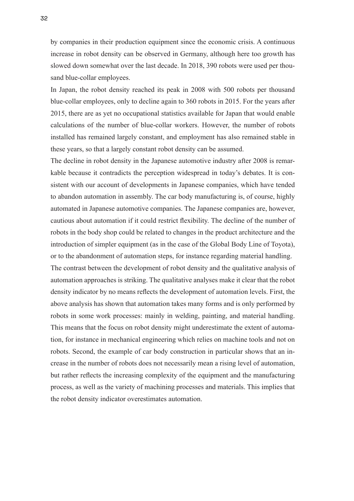by companies in their production equipment since the economic crisis. A continuous increase in robot density can be observed in Germany, although here too growth has slowed down somewhat over the last decade. In 2018, 390 robots were used per thousand blue-collar employees.

In Japan, the robot density reached its peak in 2008 with 500 robots per thousand blue-collar employees, only to decline again to 360 robots in 2015. For the years after 2015, there are as yet no occupational statistics available for Japan that would enable calculations of the number of blue-collar workers. However, the number of robots installed has remained largely constant, and employment has also remained stable in these years, so that a largely constant robot density can be assumed.

The decline in robot density in the Japanese automotive industry after 2008 is remarkable because it contradicts the perception widespread in today's debates. It is consistent with our account of developments in Japanese companies, which have tended to abandon automation in assembly. The car body manufacturing is, of course, highly automated in Japanese automotive companies. The Japanese companies are, however, cautious about automation if it could restrict flexibility. The decline of the number of robots in the body shop could be related to changes in the product architecture and the introduction of simpler equipment (as in the case of the Global Body Line of Toyota), or to the abandonment of automation steps, for instance regarding material handling.

The contrast between the development of robot density and the qualitative analysis of automation approaches is striking. The qualitative analyses make it clear that the robot density indicator by no means reflects the development of automation levels. First, the above analysis has shown that automation takes many forms and is only performed by robots in some work processes: mainly in welding, painting, and material handling. This means that the focus on robot density might underestimate the extent of automation, for instance in mechanical engineering which relies on machine tools and not on robots. Second, the example of car body construction in particular shows that an increase in the number of robots does not necessarily mean a rising level of automation, but rather reflects the increasing complexity of the equipment and the manufacturing process, as well as the variety of machining processes and materials. This implies that the robot density indicator overestimates automation.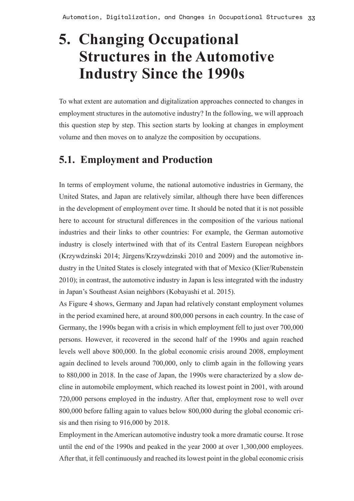# **5. Changing Occupational Structures in the Automotive Industry Since the 1990s**

To what extent are automation and digitalization approaches connected to changes in employment structures in the automotive industry? In the following, we will approach this question step by step. This section starts by looking at changes in employment volume and then moves on to analyze the composition by occupations.

### **5.1. Employment and Production**

In terms of employment volume, the national automotive industries in Germany, the United States, and Japan are relatively similar, although there have been differences in the development of employment over time. It should be noted that it is not possible here to account for structural differences in the composition of the various national industries and their links to other countries: For example, the German automotive industry is closely intertwined with that of its Central Eastern European neighbors (Krzywdzinski 2014; Jürgens/Krzywdzinski 2010 and 2009) and the automotive industry in the United States is closely integrated with that of Mexico (Klier/Rubenstein 2010); in contrast, the automotive industry in Japan is less integrated with the industry in Japan's Southeast Asian neighbors (Kobayashi et al. 2015).

As Figure 4 shows, Germany and Japan had relatively constant employment volumes in the period examined here, at around 800,000 persons in each country. In the case of Germany, the 1990s began with a crisis in which employment fell to just over 700,000 persons. However, it recovered in the second half of the 1990s and again reached levels well above 800,000. In the global economic crisis around 2008, employment again declined to levels around 700,000, only to climb again in the following years to 880,000 in 2018. In the case of Japan, the 1990s were characterized by a slow decline in automobile employment, which reached its lowest point in 2001, with around 720,000 persons employed in the industry. After that, employment rose to well over 800,000 before falling again to values below 800,000 during the global economic crisis and then rising to 916,000 by 2018.

Employment in the American automotive industry took a more dramatic course. It rose until the end of the 1990s and peaked in the year 2000 at over 1,300,000 employees. After that, it fell continuously and reached its lowest point in the global economic crisis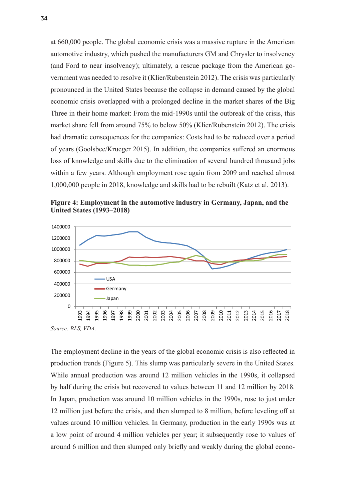at 660,000 people. The global economic crisis was a massive rupture in the American automotive industry, which pushed the manufacturers GM and Chrysler to insolvency (and Ford to near insolvency); ultimately, a rescue package from the American government was needed to resolve it (Klier/Rubenstein 2012). The crisis was particularly pronounced in the United States because the collapse in demand caused by the global economic crisis overlapped with a prolonged decline in the market shares of the Big Three in their home market: From the mid-1990s until the outbreak of the crisis, this market share fell from around 75% to below 50% (Klier/Rubenstein 2012). The crisis had dramatic consequences for the companies: Costs had to be reduced over a period of years (Goolsbee/Krueger 2015). In addition, the companies suffered an enormous loss of knowledge and skills due to the elimination of several hundred thousand jobs within a few years. Although employment rose again from 2009 and reached almost 1,000,000 people in 2018, knowledge and skills had to be rebuilt (Katz et al. 2013).

**Figure 4: Employment in the automotive industry in Germany, Japan, and the United States (1993–2018)**



The employment decline in the years of the global economic crisis is also reflected in production trends (Figure 5). This slump was particularly severe in the United States. While annual production was around 12 million vehicles in the 1990s, it collapsed by half during the crisis but recovered to values between 11 and 12 million by 2018. In Japan, production was around 10 million vehicles in the 1990s, rose to just under 12 million just before the crisis, and then slumped to 8 million, before leveling off at values around 10 million vehicles. In Germany, production in the early 1990s was at a low point of around 4 million vehicles per year; it subsequently rose to values of around 6 million and then slumped only briefly and weakly during the global econo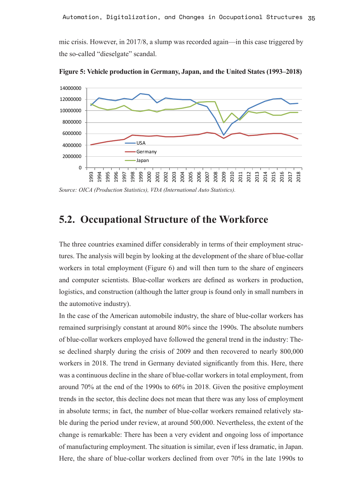mic crisis. However, in 2017/8, a slump was recorded again—in this case triggered by the so-called "dieselgate" scandal.



**Figure 5: Vehicle production in Germany, Japan, and the United States (1993–2018)**

*Source: OICA (Production Statistics), VDA (International Auto Statistics).*

### **5.2. Occupational Structure of the Workforce**

The three countries examined differ considerably in terms of their employment structures. The analysis will begin by looking at the development of the share of blue-collar workers in total employment (Figure 6) and will then turn to the share of engineers and computer scientists. Blue-collar workers are defined as workers in production, logistics, and construction (although the latter group is found only in small numbers in the automotive industry).

In the case of the American automobile industry, the share of blue-collar workers has remained surprisingly constant at around 80% since the 1990s. The absolute numbers of blue-collar workers employed have followed the general trend in the industry: These declined sharply during the crisis of 2009 and then recovered to nearly 800,000 workers in 2018. The trend in Germany deviated significantly from this. Here, there was a continuous decline in the share of blue-collar workers in total employment, from around 70% at the end of the 1990s to 60% in 2018. Given the positive employment trends in the sector, this decline does not mean that there was any loss of employment in absolute terms; in fact, the number of blue-collar workers remained relatively stable during the period under review, at around 500,000. Nevertheless, the extent of the change is remarkable: There has been a very evident and ongoing loss of importance of manufacturing employment. The situation is similar, even if less dramatic, in Japan. Here, the share of blue-collar workers declined from over 70% in the late 1990s to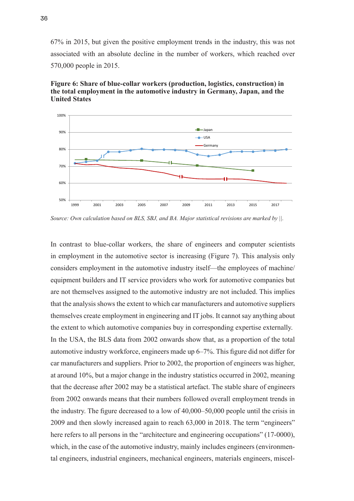67% in 2015, but given the positive employment trends in the industry, this was not associated with an absolute decline in the number of workers, which reached over 570,000 people in 2015.

![](_page_35_Figure_1.jpeg)

**Figure 6: Share of blue-collar workers (production, logistics, construction) in the total employment in the automotive industry in Germany, Japan, and the United States**

*Source: Own calculation based on BLS, SBJ, and BA. Major statistical revisions are marked by ||.*

In contrast to blue-collar workers, the share of engineers and computer scientists in employment in the automotive sector is increasing (Figure 7). This analysis only considers employment in the automotive industry itself—the employees of machine/ equipment builders and IT service providers who work for automotive companies but are not themselves assigned to the automotive industry are not included. This implies that the analysis shows the extent to which car manufacturers and automotive suppliers themselves create employment in engineering and IT jobs. It cannot say anything about the extent to which automotive companies buy in corresponding expertise externally. In the USA, the BLS data from 2002 onwards show that, as a proportion of the total automotive industry workforce, engineers made up 6–7%. This figure did not differ for car manufacturers and suppliers. Prior to 2002, the proportion of engineers was higher, at around 10%, but a major change in the industry statistics occurred in 2002, meaning that the decrease after 2002 may be a statistical artefact. The stable share of engineers from 2002 onwards means that their numbers followed overall employment trends in the industry. The figure decreased to a low of 40,000–50,000 people until the crisis in 2009 and then slowly increased again to reach 63,000 in 2018. The term "engineers" here refers to all persons in the "architecture and engineering occupations" (17-0000), which, in the case of the automotive industry, mainly includes engineers (environmental engineers, industrial engineers, mechanical engineers, materials engineers, miscel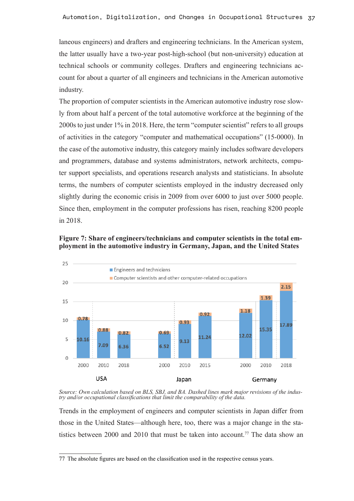laneous engineers) and drafters and engineering technicians. In the American system, the latter usually have a two-year post-high-school (but non-university) education at technical schools or community colleges. Drafters and engineering technicians account for about a quarter of all engineers and technicians in the American automotive industry.

The proportion of computer scientists in the American automotive industry rose slowly from about half a percent of the total automotive workforce at the beginning of the 2000s to just under 1% in 2018. Here, the term "computer scientist" refers to all groups of activities in the category "computer and mathematical occupations" (15-0000). In the case of the automotive industry, this category mainly includes software developers and programmers, database and systems administrators, network architects, computer support specialists, and operations research analysts and statisticians. In absolute terms, the numbers of computer scientists employed in the industry decreased only slightly during the economic crisis in 2009 from over 6000 to just over 5000 people. Since then, employment in the computer professions has risen, reaching 8200 people in 2018.

![](_page_36_Figure_3.jpeg)

![](_page_36_Figure_4.jpeg)

*Source: Own calculation based on BLS, SBJ, and BA. Dashed lines mark major revisions of the indus- try and/or occupational classifications that limit the comparability of the data.*

Trends in the employment of engineers and computer scientists in Japan differ from those in the United States—although here, too, there was a major change in the statistics between 2000 and 2010 that must be taken into account.<sup>77</sup> The data show an

<sup>77</sup> The absolute figures are based on the classification used in the respective census years.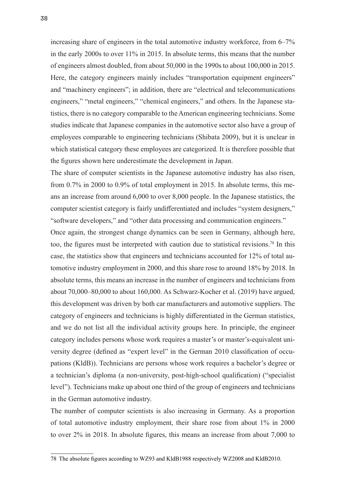increasing share of engineers in the total automotive industry workforce, from 6–7% in the early 2000s to over 11% in 2015. In absolute terms, this means that the number of engineers almost doubled, from about 50,000 in the 1990s to about 100,000 in 2015. Here, the category engineers mainly includes "transportation equipment engineers" and "machinery engineers"; in addition, there are "electrical and telecommunications engineers," "metal engineers," "chemical engineers," and others. In the Japanese statistics, there is no category comparable to the American engineering technicians. Some studies indicate that Japanese companies in the automotive sector also have a group of employees comparable to engineering technicians (Shibata 2009), but it is unclear in which statistical category these employees are categorized. It is therefore possible that the figures shown here underestimate the development in Japan.

The share of computer scientists in the Japanese automotive industry has also risen, from 0.7% in 2000 to 0.9% of total employment in 2015. In absolute terms, this means an increase from around 6,000 to over 8,000 people. In the Japanese statistics, the computer scientist category is fairly undifferentiated and includes "system designers," "software developers," and "other data processing and communication engineers."

Once again, the strongest change dynamics can be seen in Germany, although here, too, the figures must be interpreted with caution due to statistical revisions.78 In this case, the statistics show that engineers and technicians accounted for 12% of total automotive industry employment in 2000, and this share rose to around 18% by 2018. In absolute terms, this means an increase in the number of engineers and technicians from about 70,000–80,000 to about 160,000. As Schwarz-Kocher et al. (2019) have argued, this development was driven by both car manufacturers and automotive suppliers. The category of engineers and technicians is highly differentiated in the German statistics, and we do not list all the individual activity groups here. In principle, the engineer category includes persons whose work requires a master's or master's-equivalent university degree (defined as "expert level" in the German 2010 classification of occupations (KldB)). Technicians are persons whose work requires a bachelor's degree or a technician's diploma (a non-university, post-high-school qualification) ("specialist level"). Technicians make up about one third of the group of engineers and technicians in the German automotive industry.

The number of computer scientists is also increasing in Germany. As a proportion of total automotive industry employment, their share rose from about 1% in 2000 to over 2% in 2018. In absolute figures, this means an increase from about 7,000 to

<sup>78</sup> The absolute figures according to WZ93 and KldB1988 respectively WZ2008 and KldB2010.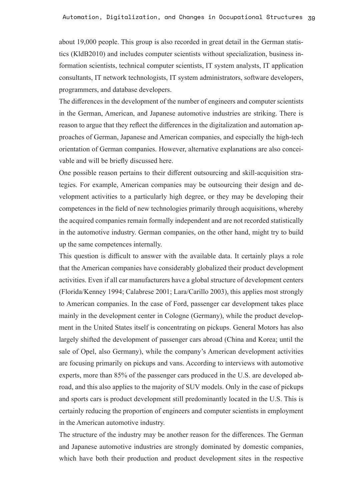about 19,000 people. This group is also recorded in great detail in the German statistics (KldB2010) and includes computer scientists without specialization, business information scientists, technical computer scientists, IT system analysts, IT application consultants, IT network technologists, IT system administrators, software developers, programmers, and database developers.

The differences in the development of the number of engineers and computer scientists in the German, American, and Japanese automotive industries are striking. There is reason to argue that they reflect the differences in the digitalization and automation approaches of German, Japanese and American companies, and especially the high-tech orientation of German companies. However, alternative explanations are also conceivable and will be briefly discussed here.

One possible reason pertains to their different outsourcing and skill-acquisition strategies. For example, American companies may be outsourcing their design and development activities to a particularly high degree, or they may be developing their competences in the field of new technologies primarily through acquisitions, whereby the acquired companies remain formally independent and are not recorded statistically in the automotive industry. German companies, on the other hand, might try to build up the same competences internally.

This question is difficult to answer with the available data. It certainly plays a role that the American companies have considerably globalized their product development activities. Even if all car manufacturers have a global structure of development centers (Florida/Kenney 1994; Calabrese 2001; Lara/Carillo 2003), this applies most strongly to American companies. In the case of Ford, passenger car development takes place mainly in the development center in Cologne (Germany), while the product development in the United States itself is concentrating on pickups. General Motors has also largely shifted the development of passenger cars abroad (China and Korea; until the sale of Opel, also Germany), while the company's American development activities are focusing primarily on pickups and vans. According to interviews with automotive experts, more than 85% of the passenger cars produced in the U.S. are developed abroad, and this also applies to the majority of SUV models. Only in the case of pickups and sports cars is product development still predominantly located in the U.S. This is certainly reducing the proportion of engineers and computer scientists in employment in the American automotive industry.

The structure of the industry may be another reason for the differences. The German and Japanese automotive industries are strongly dominated by domestic companies, which have both their production and product development sites in the respective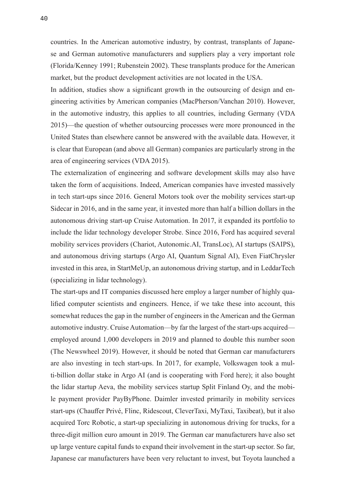countries. In the American automotive industry, by contrast, transplants of Japanese and German automotive manufacturers and suppliers play a very important role (Florida/Kenney 1991; Rubenstein 2002). These transplants produce for the American market, but the product development activities are not located in the USA.

In addition, studies show a significant growth in the outsourcing of design and engineering activities by American companies (MacPherson/Vanchan 2010). However, in the automotive industry, this applies to all countries, including Germany (VDA 2015)—the question of whether outsourcing processes were more pronounced in the United States than elsewhere cannot be answered with the available data. However, it is clear that European (and above all German) companies are particularly strong in the area of engineering services (VDA 2015).

The externalization of engineering and software development skills may also have taken the form of acquisitions. Indeed, American companies have invested massively in tech start-ups since 2016. General Motors took over the mobility services start-up Sidecar in 2016, and in the same year, it invested more than half a billion dollars in the autonomous driving start-up Cruise Automation. In 2017, it expanded its portfolio to include the lidar technology developer Strobe. Since 2016, Ford has acquired several mobility services providers (Chariot, Autonomic.AI, TransLoc), AI startups (SAIPS), and autonomous driving startups (Argo AI, Quantum Signal AI), Even FiatChrysler invested in this area, in StartMeUp, an autonomous driving startup, and in LeddarTech (specializing in lidar technology).

The start-ups and IT companies discussed here employ a larger number of highly qualified computer scientists and engineers. Hence, if we take these into account, this somewhat reduces the gap in the number of engineers in the American and the German automotive industry. Cruise Automation—by far the largest of the start-ups acquired employed around 1,000 developers in 2019 and planned to double this number soon (The Newswheel 2019). However, it should be noted that German car manufacturers are also investing in tech start-ups. In 2017, for example, Volkswagen took a multi-billion dollar stake in Argo AI (and is cooperating with Ford here); it also bought the lidar startup Aeva, the mobility services startup Split Finland Oy, and the mobile payment provider PayByPhone. Daimler invested primarily in mobility services start-ups (Chauffer Privé, Flinc, Ridescout, CleverTaxi, MyTaxi, Taxibeat), but it also acquired Torc Robotic, a start-up specializing in autonomous driving for trucks, for a three-digit million euro amount in 2019. The German car manufacturers have also set up large venture capital funds to expand their involvement in the start-up sector. So far, Japanese car manufacturers have been very reluctant to invest, but Toyota launched a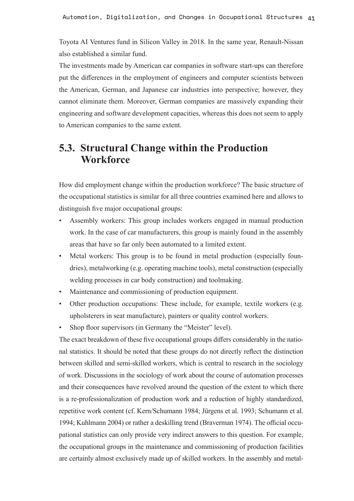Toyota AI Ventures fund in Silicon Valley in 2018. In the same year, Renault-Nissan also established a similar fund.

The investments made by American car companies in software start-ups can therefore put the differences in the employment of engineers and computer scientists between the American, German, and Japanese car industries into perspective; however, they cannot eliminate them. Moreover, German companies are massively expanding their engineering and software development capacities, whereas this does not seem to apply to American companies to the same extent.

## **5.3. Structural Change within the Production Workforce**

How did employment change within the production workforce? The basic structure of the occupational statistics is similar for all three countries examined here and allows to distinguish five major occupational groups:

- Assembly workers: This group includes workers engaged in manual production work. In the case of car manufacturers, this group is mainly found in the assembly areas that have so far only been automated to a limited extent.
- Metal workers: This group is to be found in metal production (especially foundries), metalworking (e.g. operating machine tools), metal construction (especially welding processes in car body construction) and toolmaking.
- Maintenance and commissioning of production equipment.
- Other production occupations: These include, for example, textile workers (e.g. upholsterers in seat manufacture), painters or quality control workers.
- Shop floor supervisors (in Germany the "Meister" level).

The exact breakdown of these five occupational groups differs considerably in the national statistics. It should be noted that these groups do not directly reflect the distinction between skilled and semi-skilled workers, which is central to research in the sociology of work. Discussions in the sociology of work about the course of automation processes and their consequences have revolved around the question of the extent to which there is a re-professionalization of production work and a reduction of highly standardized, repetitive work content (cf. Kern/Schumann 1984; Jürgens et al. 1993; Schumann et al. 1994; Kuhlmann 2004) or rather a deskilling trend (Braverman 1974). The official occupational statistics can only provide very indirect answers to this question. For example, the occupational groups in the maintenance and commissioning of production facilities are certainly almost exclusively made up of skilled workers. In the assembly and metal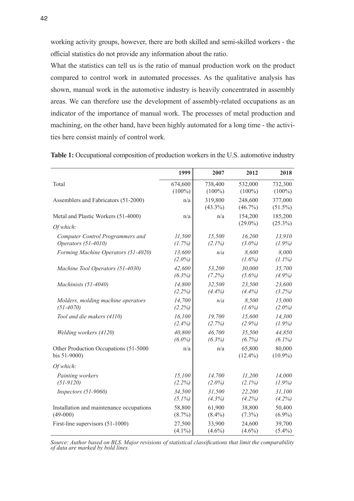working activity groups, however, there are both skilled and semi-skilled workers - the official statistics do not provide any information about the ratio.

What the statistics can tell us is the ratio of manual production work on the product compared to control work in automated processes. As the qualitative analysis has shown, manual work in the automotive industry is heavily concentrated in assembly areas. We can therefore use the development of assembly-related occupations as an indicator of the importance of manual work. The processes of metal production and machining, on the other hand, have been highly automated for a long time - the activities here consist mainly of control work.

|                                                       | 1999                | 2007                  | 2012                  | 2018                  |
|-------------------------------------------------------|---------------------|-----------------------|-----------------------|-----------------------|
| Total                                                 | 674,600             | 738,400               | 532,000               | 732,300               |
|                                                       | $(100\%)$           | $(100\%)$             | $(100\%)$             | $(100\%)$             |
| Assemblers and Fabricators (51-2000)                  | n/a                 | 319,800<br>$(43.3\%)$ | 248,600<br>$(46.7\%)$ | 377,000<br>$(51.5\%)$ |
| Metal and Plastic Workers (51-4000)                   | n/a                 | n/a                   | 154,200               | 185,200               |
| Of which:                                             |                     |                       | $(29.0\%)$            | $(25.3\%)$            |
| Computer Control Programmers and                      | 11,500              | 15,500                | 16,200                | 13,910                |
| Operators (51-4010)                                   | (1.7%)              | $(2.1\%)$             | $(3.0\%)$             | $(1.9\%)$             |
| Forming Machine Operators (51-4020)                   | 13,600<br>$(2.0\%)$ | n/a                   | 8,600<br>$(1.6\%)$    | 8,000<br>$(1.1\%)$    |
| Machine Tool Operators (51-4030)                      | 42,600              | 53,200                | 30,000                | 35,700                |
|                                                       | (6.3%)              | (7.2%)                | $(5.6\%)$             | $(4.9\%)$             |
| Machinists (51-4040)                                  | 14,800              | 32,500                | 23,500                | 23,600                |
|                                                       | (2.2%)              | (4.4%)                | (4.4%)                | (3.2%)                |
| Molders, molding machine operators                    | 14,700              | n/a                   | 8,500                 | 15,000                |
| $(51 - 4070)$                                         | (2.2%)              |                       | $(1.6\%)$             | $(2.0\%)$             |
| Tool and die makers (4110)                            | 16,100              | 19,700                | 15,600                | 14,300                |
|                                                       | (2.4%)              | (2.7%)                | $(2.9\%)$             | $(1.9\%)$             |
| Welding workers (4120)                                | 40,800              | 46,700                | 35,500                | 44,850                |
|                                                       | $(6.0\%)$           | $(6.3\%)$             | (6.7%)                | $(6.1\%)$             |
| Other Production Occupations (51-5000<br>bis 51-9000) | n/a                 | n/a                   | 65,800<br>$(12.4\%)$  | 80,000<br>$(10.9\%)$  |
| Of which:                                             |                     |                       |                       |                       |
| Painting workers                                      | 15,100              | 14,700                | 11,200                | 14,000                |
| $(51-9120)$                                           | (2.2%)              | $(2.0\%)$             | $(2.1\%)$             | $(1.9\%)$             |
| Inspectors (51-9060)                                  | 34,500              | 31,500                | 22,200                | 31,100                |
|                                                       | $(5.1\%)$           | (4.3%)                | (4.2%)                | (4.2%)                |
| Installation and maintenance occupations              | 58,800              | 61,900                | 38,800                | 50,400                |
| $(49-000)$                                            | $(8.7\%)$           | $(8.4\%)$             | $(7.3\%)$             | $(6.9\%)$             |
| First-line supervisors (51-1000)                      | 27,500              | 33,900                | 24,600                | 39,700                |
|                                                       | $(4.1\%)$           | $(4.6\%)$             | $(4.6\%)$             | $(5.4\%)$             |

Table 1: Occupational composition of production workers in the U.S. automotive industry

*Source: Author based on BLS. Major revisions of statistical classifications that limit the comparability of data are marked by bold lines.*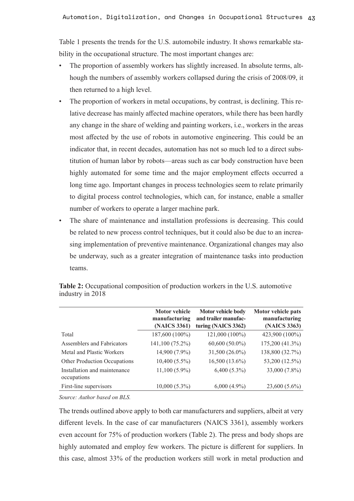Table 1 presents the trends for the U.S. automobile industry. It shows remarkable stability in the occupational structure. The most important changes are:

- The proportion of assembly workers has slightly increased. In absolute terms, although the numbers of assembly workers collapsed during the crisis of 2008/09, it then returned to a high level.
- The proportion of workers in metal occupations, by contrast, is declining. This relative decrease has mainly affected machine operators, while there has been hardly any change in the share of welding and painting workers, i.e., workers in the areas most affected by the use of robots in automotive engineering. This could be an indicator that, in recent decades, automation has not so much led to a direct substitution of human labor by robots—areas such as car body construction have been highly automated for some time and the major employment effects occurred a long time ago. Important changes in process technologies seem to relate primarily to digital process control technologies, which can, for instance, enable a smaller number of workers to operate a larger machine park.
- The share of maintenance and installation professions is decreasing. This could be related to new process control techniques, but it could also be due to an increasing implementation of preventive maintenance. Organizational changes may also be underway, such as a greater integration of maintenance tasks into production teams.

|                                             | <b>Motor vehicle</b><br>manufacturing<br>(NAICS 3361) | Motor vehicle body<br>and trailer manufac-<br>turing (NAICS 3362) | Motor vehicle pats<br>manufacturing<br>(NAICS 3363) |
|---------------------------------------------|-------------------------------------------------------|-------------------------------------------------------------------|-----------------------------------------------------|
| Total                                       | 187,600 (100%)                                        | 121,000 (100%)                                                    | 423,900 (100%)                                      |
| Assemblers and Fabricators                  | 141,100 (75.2%)                                       | $60,600(50.0\%)$                                                  | 175,200 (41.3%)                                     |
| Metal and Plastic Workers                   | 14,900 (7.9%)                                         | 31,500 (26.0%)                                                    | 138,800 (32.7%)                                     |
| Other Production Occupations                | $10,400(5.5\%)$                                       | $16,500(13.6\%)$                                                  | 53,200 (12.5%)                                      |
| Installation and maintenance<br>occupations | $11,100(5.9\%)$                                       | $6,400(5.3\%)$                                                    | 33,000 (7.8%)                                       |
| First-line supervisors                      | $10,000(5.3\%)$                                       | $6,000(4.9\%)$                                                    | $23,600(5.6\%)$                                     |

**Table 2:** Occupational composition of production workers in the U.S. automotive industry in 2018

*Source: Author based on BLS.*

The trends outlined above apply to both car manufacturers and suppliers, albeit at very different levels. In the case of car manufacturers (NAICS 3361), assembly workers even account for 75% of production workers (Table 2). The press and body shops are highly automated and employ few workers. The picture is different for suppliers. In this case, almost 33% of the production workers still work in metal production and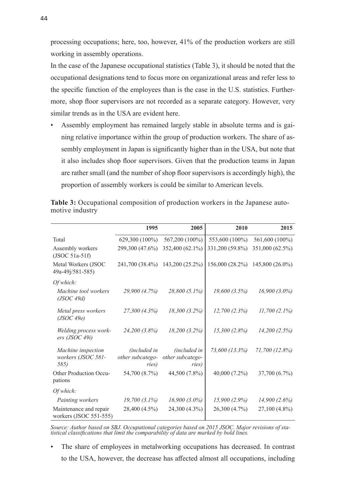processing occupations; here, too, however, 41% of the production workers are still working in assembly operations.

In the case of the Japanese occupational statistics (Table 3), it should be noted that the occupational designations tend to focus more on organizational areas and refer less to the specific function of the employees than is the case in the U.S. statistics. Furthermore, shop floor supervisors are not recorded as a separate category. However, very similar trends as in the USA are evident here.

• Assembly employment has remained largely stable in absolute terms and is gaining relative importance within the group of production workers. The share of assembly employment in Japan is significantly higher than in the USA, but note that it also includes shop floor supervisors. Given that the production teams in Japan are rather small (and the number of shop floor supervisors is accordingly high), the proportion of assembly workers is could be similar to American levels.

|                                                  | 1995                                               | 2005                                      | 2010            | 2015            |
|--------------------------------------------------|----------------------------------------------------|-------------------------------------------|-----------------|-----------------|
| Total                                            | 629,300 (100%)                                     | 567,200 (100%)                            | 553,600 (100%)  | 561,600 (100%)  |
| Assembly workers<br>$($ JSOC 51a-51f $)$         | 299,300 (47.6%)                                    | 352,400 (62.1%)                           | 331,200 (59.8%) | 351,000 (62.5%) |
| Metal Workers (JSOC<br>49a-49j/581-585)          | 241,700 (38.4%)                                    | 143,200 (25.2%)                           | 156,000 (28.2%) | 145,800 (26.0%) |
| Of which:                                        |                                                    |                                           |                 |                 |
| Machine tool workers<br>(JSOC 49d)               | 29,900 (4.7%)                                      | 28,800 (5.1%)                             | 19,600(3.5%)    | $16,900(3.0\%)$ |
| Metal press workers<br>(JSOC 49e)                | 27,300 (4.3%)                                      | 18,300 (3.2%)                             | 12,700(2.3%)    | $11,700(2.1\%)$ |
| Welding process work-<br>ers (JSOC 49i)          | 24,200 (3.8%)                                      | $18,200(3.2\%)$                           | $15,300(2.8\%)$ | 14,200(2.5%)    |
| Machine inspection<br>workers (JSOC 581-<br>585) | <i>(included in</i> )<br>other subcatego-<br>ries) | (included in<br>other subcatego-<br>ries) | 73,600 (13.3%)  | 71,700 (12.8%)  |
| Other Production Occu-<br>pations                | 54,700 (8.7%)                                      | 44,500 (7.8%)                             | 40,000 (7.2%)   | 37,700 (6.7%)   |
| Of which:                                        |                                                    |                                           |                 |                 |
| Painting workers                                 | $19,700(3.1\%)$                                    | $16,900(3.0\%)$                           | $15,900(2.9\%)$ | 14,900(2.6%)    |
| Maintenance and repair<br>workers (JSOC 551-555) | 28,400 (4.5%)                                      | 24,300 (4.3%)                             | 26,300 (4.7%)   | 27,100 (4.8%)   |

**Table 3:** Occupational composition of production workers in the Japanese automotive industry

*Source: Author based on SBJ. Occupational categories based on 2015 JSOC. Major revisions of sta- tistical classifications that limit the comparability of data are marked by bold lines.*

The share of employees in metalworking occupations has decreased. In contrast to the USA, however, the decrease has affected almost all occupations, including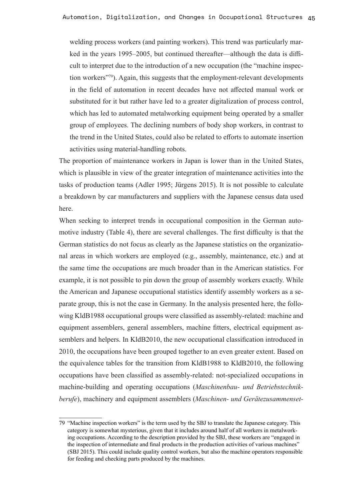welding process workers (and painting workers). This trend was particularly marked in the years 1995–2005, but continued thereafter—although the data is difficult to interpret due to the introduction of a new occupation (the "machine inspection workers"<sup>79</sup>). Again, this suggests that the employment-relevant developments in the field of automation in recent decades have not affected manual work or substituted for it but rather have led to a greater digitalization of process control, which has led to automated metalworking equipment being operated by a smaller group of employees. The declining numbers of body shop workers, in contrast to the trend in the United States, could also be related to efforts to automate insertion activities using material-handling robots.

The proportion of maintenance workers in Japan is lower than in the United States, which is plausible in view of the greater integration of maintenance activities into the tasks of production teams (Adler 1995; Jürgens 2015). It is not possible to calculate a breakdown by car manufacturers and suppliers with the Japanese census data used here.

When seeking to interpret trends in occupational composition in the German automotive industry (Table 4), there are several challenges. The first difficulty is that the German statistics do not focus as clearly as the Japanese statistics on the organizational areas in which workers are employed (e.g., assembly, maintenance, etc.) and at the same time the occupations are much broader than in the American statistics. For example, it is not possible to pin down the group of assembly workers exactly. While the American and Japanese occupational statistics identify assembly workers as a separate group, this is not the case in Germany. In the analysis presented here, the following KldB1988 occupational groups were classified as assembly-related: machine and equipment assemblers, general assemblers, machine fitters, electrical equipment assemblers and helpers. In KldB2010, the new occupational classification introduced in 2010, the occupations have been grouped together to an even greater extent. Based on the equivalence tables for the transition from KldB1988 to KldB2010, the following occupations have been classified as assembly-related: not-specialized occupations in machine-building and operating occupations (*Maschinenbau- und Betriebstechnikberufe*), machinery and equipment assemblers (*Maschinen- und Gerätezusammenset-*

<sup>79</sup> "Machine inspection workers" is the term used by the SBJ to translate the Japanese category. This category is somewhat mysterious, given that it includes around half of all workers in metalworking occupations. According to the description provided by the SBJ, these workers are "engaged in the inspection of intermediate and final products in the production activities of various machines" (SBJ 2015). This could include quality control workers, but also the machine operators responsible for feeding and checking parts produced by the machines.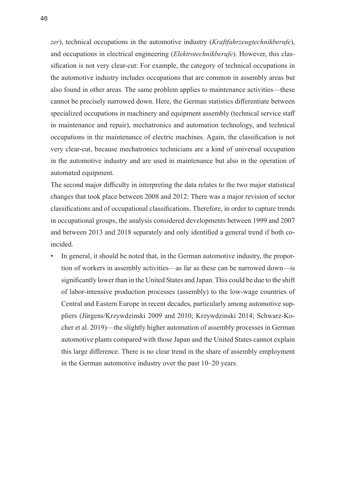*zer*), technical occupations in the automotive industry (*Kraftfahrzeugtechnikberufe*), and occupations in electrical engineering (*Elektrotechnikberufe*). However, this classification is not very clear-cut: For example, the category of technical occupations in the automotive industry includes occupations that are common in assembly areas but also found in other areas. The same problem applies to maintenance activities—these cannot be precisely narrowed down. Here, the German statistics differentiate between specialized occupations in machinery and equipment assembly (technical service staff in maintenance and repair), mechatronics and automation technology, and technical occupations in the maintenance of electric machines. Again, the classification is not very clear-cut, because mechatronics technicians are a kind of universal occupation in the automotive industry and are used in maintenance but also in the operation of automated equipment.

The second major difficulty in interpreting the data relates to the two major statistical changes that took place between 2008 and 2012: There was a major revision of sector classifications and of occupational classifications. Therefore, in order to capture trends in occupational groups, the analysis considered developments between 1999 and 2007 and between 2013 and 2018 separately and only identified a general trend if both coincided.

In general, it should be noted that, in the German automotive industry, the proportion of workers in assembly activities—as far as these can be narrowed down—is significantly lower than in the United States and Japan. This could be due to the shift of labor-intensive production processes (assembly) to the low-wage countries of Central and Eastern Europe in recent decades, particularly among automotive suppliers (Jürgens/Krzywdzinski 2009 and 2010; Krzywdzinski 2014; Schwarz-Kocher et al. 2019)—the slightly higher automation of assembly processes in German automotive plants compared with those Japan and the United States cannot explain this large difference. There is no clear trend in the share of assembly employment in the German automotive industry over the past 10–20 years.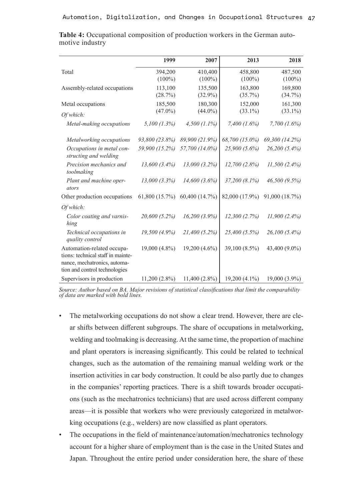|                                                                                                                                  | 1999            | 2007            | 2013              | 2018              |
|----------------------------------------------------------------------------------------------------------------------------------|-----------------|-----------------|-------------------|-------------------|
| Total                                                                                                                            | 394,200         | 410,400         | 458,800           | 487,500           |
|                                                                                                                                  | $(100\%)$       | $(100\%)$       | $(100\%)$         | $(100\%)$         |
| Assembly-related occupations                                                                                                     | 113,100         | 135,500         | 163,800           | 169,800           |
|                                                                                                                                  | (28.7%)         | $(32.9\%)$      | $(35.7\%)$        | $(34.7\%)$        |
| Metal occupations                                                                                                                | 185,500         | 180,300         | 152,000           | 161,300           |
| Of which:                                                                                                                        | $(47.0\%)$      | $(44.0\%)$      | $(33.1\%)$        | $(33.1\%)$        |
| Metal-making occupations                                                                                                         | $5,100$ (1.3%)  | $4,500(1.1\%)$  | $7,400$ $(1.6\%)$ | $7,700$ $(1.6\%)$ |
| Metalworking occupations                                                                                                         | 93,800 (23.8%)  | 89,900 (21.9%)  | 68,700 (15.0%)    | 69,300 (14.2%)    |
| Occupations in metal con-<br>structing and welding                                                                               | 59,900 (15.2%)  | 57,700 (14.0%)  | 25,900 (5.6%)     | 26,200 (5.4%)     |
| Precision mechanics and<br>toolmaking                                                                                            | $13,600(3.4\%)$ | 13,000 (3.2%)   | 12,700(2.8%)      | $11,500(2.4\%)$   |
| Plant and machine oper-<br>ators                                                                                                 | $13,000(3.3\%)$ | 14,600(3.6%)    | $37,200(8.1\%)$   | 46,500 (9.5%)     |
| Other production occupations                                                                                                     | 61,800 (15.7%)  | 60,400 (14.7%)  | 82,000 (17.9%)    | 91,000 (18.7%)    |
| Of which:                                                                                                                        |                 |                 |                   |                   |
| Color coating and varnis-<br>hing                                                                                                | 20,600 (5.2%)   | $16,200(3.9\%)$ | 12,300(2.7%)      | $11,900(2.4\%)$   |
| Technical occupations in<br>quality control                                                                                      | 19,500 (4.9%)   | $21,400(5.2\%)$ | 25,400 (5.5%)     | 26,100 (5.4%)     |
| Automation-related occupa-<br>tions: technical staff in mainte-<br>nance, mechatronics, automa-<br>tion and control technologies | 19,000 (4.8%)   | $19,200(4.6\%)$ | 39,100 (8.5%)     | 43,400 (9.0%)     |
| Supervisors in production                                                                                                        | $11,200(2.8\%)$ | $11,400(2.8\%)$ | 19,200 (4.1%)     | 19,000 (3.9%)     |

**Table 4:** Occupational composition of production workers in the German automotive industry

*Source: Author based on BA. Major revisions of statistical classifications that limit the comparability of data are marked with bold lines.*

- The metalworking occupations do not show a clear trend. However, there are clear shifts between different subgroups. The share of occupations in metalworking, welding and toolmaking is decreasing. At the same time, the proportion of machine and plant operators is increasing significantly. This could be related to technical changes, such as the automation of the remaining manual welding work or the insertion activities in car body construction. It could be also partly due to changes in the companies' reporting practices. There is a shift towards broader occupations (such as the mechatronics technicians) that are used across different company areas—it is possible that workers who were previously categorized in metalworking occupations (e.g., welders) are now classified as plant operators.
- The occupations in the field of maintenance/automation/mechatronics technology account for a higher share of employment than is the case in the United States and Japan. Throughout the entire period under consideration here, the share of these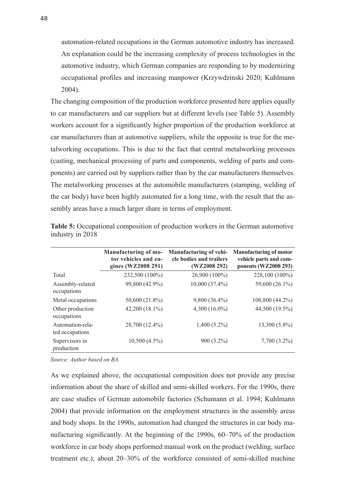automation-related occupations in the German automotive industry has increased. An explanation could be the increasing complexity of process technologies in the automotive industry, which German companies are responding to by modernizing occupational profiles and increasing manpower (Krzywdzinski 2020; Kuhlmann 2004).

The changing composition of the production workforce presented here applies equally to car manufacturers and car suppliers but at different levels (see Table 5). Assembly workers account for a significantly higher proportion of the production workforce at car manufacturers than at automotive suppliers, while the opposite is true for the metalworking occupations. This is due to the fact that central metalworking processes (casting, mechanical processing of parts and components, welding of parts and components) are carried out by suppliers rather than by the car manufacturers themselves. The metalworking processes at the automobile manufacturers (stamping, welding of the car body) have been highly automated for a long time, with the result that the assembly areas have a much larger share in terms of employment.

|                                     | Manufacturing of mo-<br>tor vehicles and en-<br>gines (WZ2008 291) | <b>Manufacturing of vehi-</b><br>cle bodies and trailers<br>(WZ2008 292) | <b>Manufacturing of motor</b><br>vehicle parts and com-<br>ponents (WZ2008 293) |
|-------------------------------------|--------------------------------------------------------------------|--------------------------------------------------------------------------|---------------------------------------------------------------------------------|
| Total                               | 232,500 (100%)                                                     | 26,900 (100%)                                                            | 228,100 (100%)                                                                  |
| Assembly-related<br>occupations     | 99,800 (42.9%)                                                     | 10,000 (37.4%)                                                           | 59,600 (26.1%)                                                                  |
| Metal occupations                   | 50,600 (21.8%)                                                     | $9,800(36.4\%)$                                                          | 100,800 (44.2%)                                                                 |
| Other production<br>occupations     | 42,200 (18.1%)                                                     | $4,300(16.0\%)$                                                          | 44,500 (19.5%)                                                                  |
| Automation-rela-<br>ted occupations | 28,700 (12.4%)                                                     | $1,400(5.2\%)$                                                           | $13,300(5.8\%)$                                                                 |
| Supervisors in<br>production        | $10,500(4.5\%)$                                                    | 900 (3.2%)                                                               | $7,700(3.2\%)$                                                                  |

**Table 5:** Occupational composition of production workers in the German automotive industry in 2018

*Source: Author based on BA.*

As we explained above, the occupational composition does not provide any precise information about the share of skilled and semi-skilled workers. For the 1990s, there are case studies of German automobile factories (Schumann et al. 1994; Kuhlmann 2004) that provide information on the employment structures in the assembly areas and body shops. In the 1990s, automation had changed the structures in car body manufacturing significantly. At the beginning of the 1990s, 60–70% of the production workforce in car body shops performed manual work on the product (welding, surface treatment etc.); about 20–30% of the workforce consisted of semi-skilled machine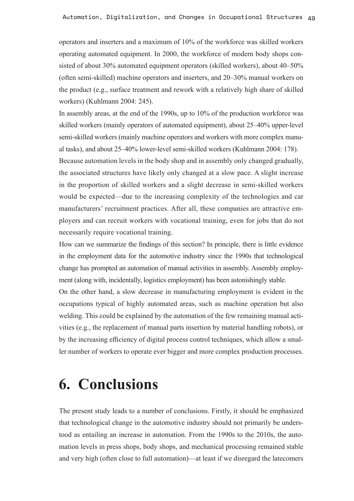operators and inserters and a maximum of 10% of the workforce was skilled workers operating automated equipment. In 2000, the workforce of modern body shops consisted of about 30% automated equipment operators (skilled workers), about 40–50% (often semi-skilled) machine operators and inserters, and 20–30% manual workers on the product (e.g., surface treatment and rework with a relatively high share of skilled workers) (Kuhlmann 2004: 245).

In assembly areas, at the end of the 1990s, up to 10% of the production workforce was skilled workers (mainly operators of automated equipment), about 25–40% upper-level semi-skilled workers (mainly machine operators and workers with more complex manual tasks), and about 25–40% lower-level semi-skilled workers (Kuhlmann 2004: 178).

Because automation levels in the body shop and in assembly only changed gradually, the associated structures have likely only changed at a slow pace. A slight increase in the proportion of skilled workers and a slight decrease in semi-skilled workers would be expected—due to the increasing complexity of the technologies and car manufacturers' recruitment practices. After all, these companies are attractive employers and can recruit workers with vocational training, even for jobs that do not necessarily require vocational training.

How can we summarize the findings of this section? In principle, there is little evidence in the employment data for the automotive industry since the 1990s that technological change has prompted an automation of manual activities in assembly. Assembly employment (along with, incidentally, logistics employment) has been astonishingly stable.

On the other hand, a slow decrease in manufacturing employment is evident in the occupations typical of highly automated areas, such as machine operation but also welding. This could be explained by the automation of the few remaining manual activities (e.g., the replacement of manual parts insertion by material handling robots), or by the increasing efficiency of digital process control techniques, which allow a smaller number of workers to operate ever bigger and more complex production processes.

## **6. Conclusions**

The present study leads to a number of conclusions. Firstly, it should be emphasized that technological change in the automotive industry should not primarily be understood as entailing an increase in automation. From the 1990s to the 2010s, the automation levels in press shops, body shops, and mechanical processing remained stable and very high (often close to full automation)—at least if we disregard the latecomers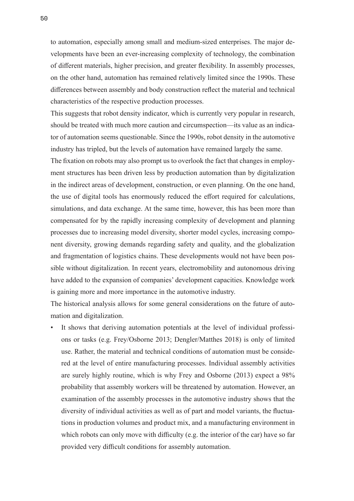to automation, especially among small and medium-sized enterprises. The major developments have been an ever-increasing complexity of technology, the combination of different materials, higher precision, and greater flexibility. In assembly processes, on the other hand, automation has remained relatively limited since the 1990s. These differences between assembly and body construction reflect the material and technical characteristics of the respective production processes.

This suggests that robot density indicator, which is currently very popular in research, should be treated with much more caution and circumspection—its value as an indicator of automation seems questionable. Since the 1990s, robot density in the automotive industry has tripled, but the levels of automation have remained largely the same.

The fixation on robots may also prompt us to overlook the fact that changes in employment structures has been driven less by production automation than by digitalization in the indirect areas of development, construction, or even planning. On the one hand, the use of digital tools has enormously reduced the effort required for calculations, simulations, and data exchange. At the same time, however, this has been more than compensated for by the rapidly increasing complexity of development and planning processes due to increasing model diversity, shorter model cycles, increasing component diversity, growing demands regarding safety and quality, and the globalization and fragmentation of logistics chains. These developments would not have been possible without digitalization. In recent years, electromobility and autonomous driving have added to the expansion of companies' development capacities. Knowledge work is gaining more and more importance in the automotive industry.

The historical analysis allows for some general considerations on the future of automation and digitalization.

It shows that deriving automation potentials at the level of individual professions or tasks (e.g. Frey/Osborne 2013; Dengler/Matthes 2018) is only of limited use. Rather, the material and technical conditions of automation must be considered at the level of entire manufacturing processes. Individual assembly activities are surely highly routine, which is why Frey and Osborne (2013) expect a 98% probability that assembly workers will be threatened by automation. However, an examination of the assembly processes in the automotive industry shows that the diversity of individual activities as well as of part and model variants, the fluctuations in production volumes and product mix, and a manufacturing environment in which robots can only move with difficulty (e.g. the interior of the car) have so far provided very difficult conditions for assembly automation.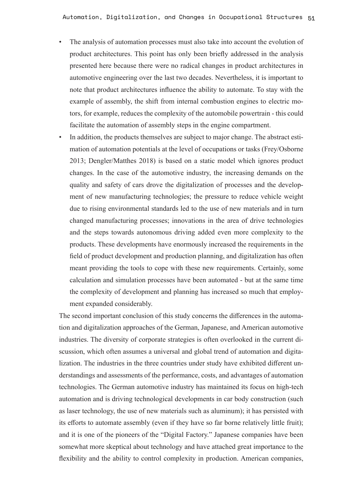- The analysis of automation processes must also take into account the evolution of product architectures. This point has only been briefly addressed in the analysis presented here because there were no radical changes in product architectures in automotive engineering over the last two decades. Nevertheless, it is important to note that product architectures influence the ability to automate. To stay with the example of assembly, the shift from internal combustion engines to electric motors, for example, reduces the complexity of the automobile powertrain - this could facilitate the automation of assembly steps in the engine compartment.
- In addition, the products themselves are subject to major change. The abstract estimation of automation potentials at the level of occupations or tasks (Frey/Osborne 2013; Dengler/Matthes 2018) is based on a static model which ignores product changes. In the case of the automotive industry, the increasing demands on the quality and safety of cars drove the digitalization of processes and the development of new manufacturing technologies; the pressure to reduce vehicle weight due to rising environmental standards led to the use of new materials and in turn changed manufacturing processes; innovations in the area of drive technologies and the steps towards autonomous driving added even more complexity to the products. These developments have enormously increased the requirements in the field of product development and production planning, and digitalization has often meant providing the tools to cope with these new requirements. Certainly, some calculation and simulation processes have been automated - but at the same time the complexity of development and planning has increased so much that employment expanded considerably.

The second important conclusion of this study concerns the differences in the automation and digitalization approaches of the German, Japanese, and American automotive industries. The diversity of corporate strategies is often overlooked in the current discussion, which often assumes a universal and global trend of automation and digitalization. The industries in the three countries under study have exhibited different understandings and assessments of the performance, costs, and advantages of automation technologies. The German automotive industry has maintained its focus on high-tech automation and is driving technological developments in car body construction (such as laser technology, the use of new materials such as aluminum); it has persisted with its efforts to automate assembly (even if they have so far borne relatively little fruit); and it is one of the pioneers of the "Digital Factory." Japanese companies have been somewhat more skeptical about technology and have attached great importance to the flexibility and the ability to control complexity in production. American companies,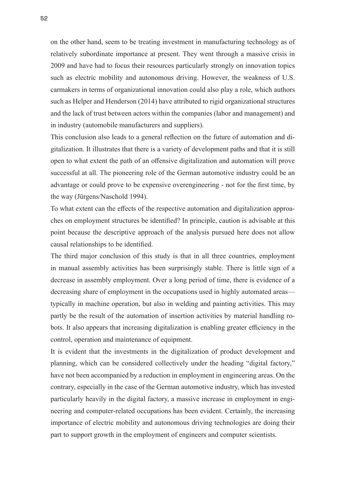on the other hand, seem to be treating investment in manufacturing technology as of relatively subordinate importance at present. They went through a massive crisis in 2009 and have had to focus their resources particularly strongly on innovation topics such as electric mobility and autonomous driving. However, the weakness of U.S. carmakers in terms of organizational innovation could also play a role, which authors such as Helper and Henderson (2014) have attributed to rigid organizational structures and the lack of trust between actors within the companies (labor and management) and in industry (automobile manufacturers and suppliers).

This conclusion also leads to a general reflection on the future of automation and digitalization. It illustrates that there is a variety of development paths and that it is still open to what extent the path of an offensive digitalization and automation will prove successful at all. The pioneering role of the German automotive industry could be an advantage or could prove to be expensive overengineering - not for the first time, by the way (Jürgens/Naschold 1994).

To what extent can the effects of the respective automation and digitalization approaches on employment structures be identified? In principle, caution is advisable at this point because the descriptive approach of the analysis pursued here does not allow causal relationships to be identified.

The third major conclusion of this study is that in all three countries, employment in manual assembly activities has been surprisingly stable. There is little sign of a decrease in assembly employment. Over a long period of time, there is evidence of a decreasing share of employment in the occupations used in highly automated areas typically in machine operation, but also in welding and painting activities. This may partly be the result of the automation of insertion activities by material handling robots. It also appears that increasing digitalization is enabling greater efficiency in the control, operation and maintenance of equipment.

It is evident that the investments in the digitalization of product development and planning, which can be considered collectively under the heading "digital factory," have not been accompanied by a reduction in employment in engineering areas. On the contrary, especially in the case of the German automotive industry, which has invested particularly heavily in the digital factory, a massive increase in employment in engineering and computer-related occupations has been evident. Certainly, the increasing importance of electric mobility and autonomous driving technologies are doing their part to support growth in the employment of engineers and computer scientists.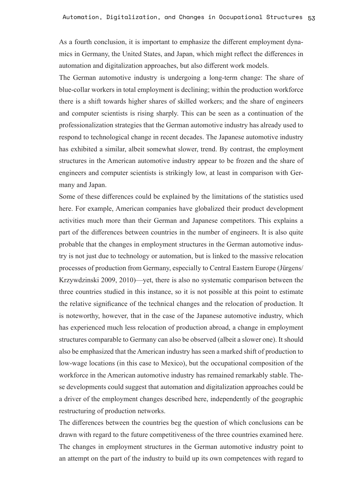As a fourth conclusion, it is important to emphasize the different employment dynamics in Germany, the United States, and Japan, which might reflect the differences in automation and digitalization approaches, but also different work models.

The German automotive industry is undergoing a long-term change: The share of blue-collar workers in total employment is declining; within the production workforce there is a shift towards higher shares of skilled workers; and the share of engineers and computer scientists is rising sharply. This can be seen as a continuation of the professionalization strategies that the German automotive industry has already used to respond to technological change in recent decades. The Japanese automotive industry has exhibited a similar, albeit somewhat slower, trend. By contrast, the employment structures in the American automotive industry appear to be frozen and the share of engineers and computer scientists is strikingly low, at least in comparison with Germany and Japan.

Some of these differences could be explained by the limitations of the statistics used here. For example, American companies have globalized their product development activities much more than their German and Japanese competitors. This explains a part of the differences between countries in the number of engineers. It is also quite probable that the changes in employment structures in the German automotive industry is not just due to technology or automation, but is linked to the massive relocation processes of production from Germany, especially to Central Eastern Europe (Jürgens/ Krzywdzinski 2009, 2010)—yet, there is also no systematic comparison between the three countries studied in this instance, so it is not possible at this point to estimate the relative significance of the technical changes and the relocation of production. It is noteworthy, however, that in the case of the Japanese automotive industry, which has experienced much less relocation of production abroad, a change in employment structures comparable to Germany can also be observed (albeit a slower one). It should also be emphasized that the American industry has seen a marked shift of production to low-wage locations (in this case to Mexico), but the occupational composition of the workforce in the American automotive industry has remained remarkably stable. These developments could suggest that automation and digitalization approaches could be a driver of the employment changes described here, independently of the geographic restructuring of production networks.

The differences between the countries beg the question of which conclusions can be drawn with regard to the future competitiveness of the three countries examined here. The changes in employment structures in the German automotive industry point to an attempt on the part of the industry to build up its own competences with regard to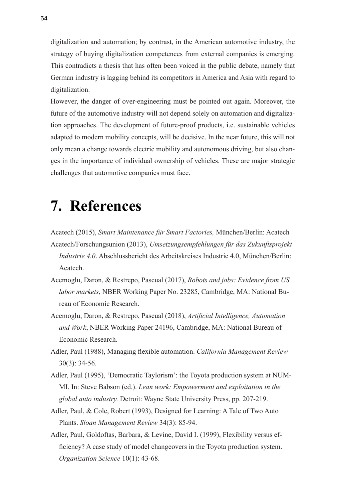digitalization and automation; by contrast, in the American automotive industry, the strategy of buying digitalization competences from external companies is emerging. This contradicts a thesis that has often been voiced in the public debate, namely that German industry is lagging behind its competitors in America and Asia with regard to digitalization.

However, the danger of over-engineering must be pointed out again. Moreover, the future of the automotive industry will not depend solely on automation and digitalization approaches. The development of future-proof products, i.e. sustainable vehicles adapted to modern mobility concepts, will be decisive. In the near future, this will not only mean a change towards electric mobility and autonomous driving, but also changes in the importance of individual ownership of vehicles. These are major strategic challenges that automotive companies must face.

# **7. References**

- Acatech (2015), *Smart Maintenance für Smart Factories,* München/Berlin: Acatech Acatech/Forschungsunion (2013), *Umsetzungsempfehlungen für das Zukunftsprojekt Industrie 4.0*. Abschlussbericht des Arbeitskreises Industrie 4.0, München/Berlin: Acatech.
- Acemoglu, Daron, & Restrepo, Pascual (2017), *Robots and jobs: Evidence from US labor markets*, NBER Working Paper No. 23285, Cambridge, MA: National Bureau of Economic Research.
- Acemoglu, Daron, & Restrepo, Pascual (2018), *Artificial Intelligence, Automation and Work*, NBER Working Paper 24196, Cambridge, MA: National Bureau of Economic Research.
- Adler, Paul (1988), Managing flexible automation. *California Management Review* 30(3): 34-56.
- Adler, Paul (1995), 'Democratic Taylorism': the Toyota production system at NUM-MI. In: Steve Babson (ed.). *Lean work: Empowerment and exploitation in the global auto industry.* Detroit: Wayne State University Press, pp. 207-219.
- Adler, Paul, & Cole, Robert (1993), Designed for Learning: A Tale of Two Auto Plants. *Sloan Management Review* 34(3): 85-94.
- Adler, Paul, Goldoftas, Barbara, & Levine, David I. (1999), Flexibility versus efficiency? A case study of model changeovers in the Toyota production system. *Organization Science* 10(1): 43-68.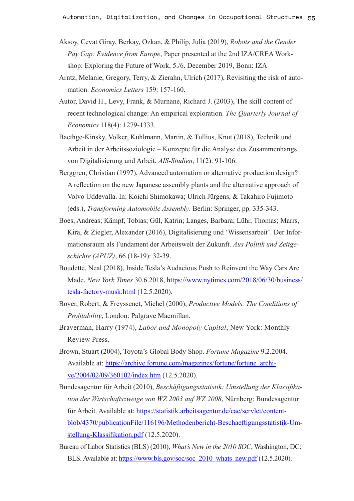- Aksoy, Cevat Giray, Berkay, Ozkan, & Philip, Julia (2019), *Robots and the Gender Pay Gap: Evidence from Europe*, Paper presented at the 2nd IZA/CREA Workshop: Exploring the Future of Work, 5./6. December 2019, Bonn: IZA
- Arntz, Melanie, Gregory, Terry, & Zierahn, Ulrich (2017), Revisiting the risk of automation. *Economics Letters* 159: 157-160.
- Autor, David H., Levy, Frank, & Murnane, Richard J. (2003), The skill content of recent technological change: An empirical exploration. *The Quarterly Journal of Economics* 118(4): 1279-1333.
- Baethge-Kinsky, Volker, Kuhlmann, Martin, & Tullius, Knut (2018), Technik und Arbeit in der Arbeitssoziologie – Konzepte für die Analyse des Zusammenhangs von Digitalisierung und Arbeit. *AIS-Studien*, 11(2): 91-106.
- Berggren, Christian (1997), Advanced automation or alternative production design? A reflection on the new Japanese assembly plants and the alternative approach of Volvo Uddevalla. In: Koichi Shimokawa; Ulrich Jürgens, & Takahiro Fujimoto (eds.), *Transforming Automobile Assembly*. Berlin: Springer, pp. 335-343.
- Boes, Andreas; Kämpf, Tobias; Gül, Katrin; Langes, Barbara; Lühr, Thomas; Marrs, Kira, & Ziegler, Alexander (2016), Digitalisierung und 'Wissensarbeit'. Der Informationsraum als Fundament der Arbeitswelt der Zukunft. *Aus Politik und Zeitgeschichte (APUZ)*, 66 (18-19): 32-39.
- Boudette, Neal (2018), Inside Tesla's Audacious Push to Reinvent the Way Cars Are Made, *New York Times* 30.6.2018, [https://www.nytimes.com/2018/06/30/business/](https://www.nytimes.com/2018/06/30/business/tesla-factory-musk.html) [tesla-factory-musk.html](https://www.nytimes.com/2018/06/30/business/tesla-factory-musk.html) (12.5.2020).
- Boyer, Robert, & Freyssenet, Michel (2000), *Productive Models. The Conditions of Profitability*, London: Palgrave Macmillan.
- Braverman, Harry (1974), *Labor and Monopoly Capital*, New York: Monthly Review Press.
- Brown, Stuart (2004), Toyota's Global Body Shop. *Fortune Magazine* 9.2.2004. Available at: [https://archive.fortune.com/magazines/fortune/fortune\\_archi](https://archive.fortune.com/magazines/fortune/fortune_archive/2004/02/09/360102/index.htm)[ve/2004/02/09/360102/index.htm](https://archive.fortune.com/magazines/fortune/fortune_archive/2004/02/09/360102/index.htm) (12.5.2020).
- Bundesagentur für Arbeit (2010), *Beschäftigungsstatistik: Umstellung der Klassifikation der Wirtschaftszweige von WZ 2003 auf WZ 2008*, Nürnberg: Bundesagentur für Arbeit. Available at: [https://statistik.arbeitsagentur.de/cae/servlet/content](https://statistik.arbeitsagentur.de/cae/servlet/contentblob/4370/publicationFile/116196/Methodenbericht-Beschaeftigungsstatistik-Umstellung-Klassifikation.pdf)[blob/4370/publicationFile/116196/Methodenbericht-Beschaeftigungsstatistik-Um](https://statistik.arbeitsagentur.de/cae/servlet/contentblob/4370/publicationFile/116196/Methodenbericht-Beschaeftigungsstatistik-Umstellung-Klassifikation.pdf)[stellung-Klassifikation.pdf](https://statistik.arbeitsagentur.de/cae/servlet/contentblob/4370/publicationFile/116196/Methodenbericht-Beschaeftigungsstatistik-Umstellung-Klassifikation.pdf) (12.5.2020).
- Bureau of Labor Statistics (BLS) (2010), *What's New in the 2010 SOC*, Washington, DC: BLS. Available at: [https://www.bls.gov/soc/soc\\_2010\\_whats\\_new.pdf](https://www.bls.gov/soc/soc_2010_whats_new.pdf) (12.5.2020).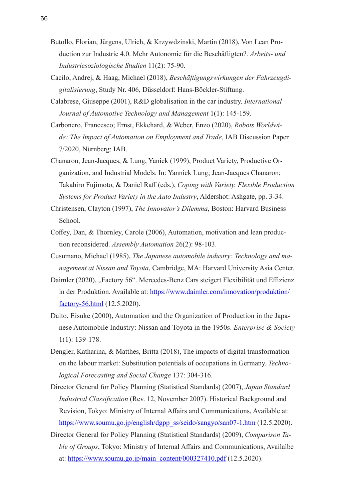- Butollo, Florian, Jürgens, Ulrich, & Krzywdzinski, Martin (2018), Von Lean Production zur Industrie 4.0. Mehr Autonomie für die Beschäftigten?. *Arbeits- und Industriesoziologische Studien* 11(2): 75-90.
- Cacilo, Andrej, & Haag, Michael (2018), *Beschäftigungswirkungen der Fahrzeugdigitalisierung*, Study Nr. 406, Düsseldorf: Hans-Böckler-Stiftung.
- Calabrese, Giuseppe (2001), R&D globalisation in the car industry. *International Journal of Automotive Technology and Management* 1(1): 145-159.
- Carbonero, Francesco; Ernst, Ekkehard, & Weber, Enzo (2020), *Robots Worldwide: The Impact of Automation on Employment and Trade*, IAB Discussion Paper 7/2020, Nürnberg: IAB.
- Chanaron, Jean-Jacques, & Lung, Yanick (1999), Product Variety, Productive Organization, and Industrial Models. In: Yannick Lung; Jean-Jacques Chanaron; Takahiro Fujimoto, & Daniel Raff (eds.), *Coping with Variety. Flexible Production Systems for Product Variety in the Auto Industry*, Aldershot: Ashgate, pp. 3-34.
- Christensen, Clayton (1997), *The Innovator's Dilemma*, Boston: Harvard Business School.
- Coffey, Dan, & Thornley, Carole (2006), Automation, motivation and lean production reconsidered. *Assembly Automation* 26(2): 98-103.
- Cusumano, Michael (1985), *The Japanese automobile industry: Technology and management at Nissan and Toyota*, Cambridge, MA: Harvard University Asia Center.
- Daimler (2020), "Factory 56". Mercedes-Benz Cars steigert Flexibilität und Effizienz in der Produktion. Available at: [https://www.daimler.com/innovation/produktion/](https://www.daimler.com/innovation/produktion/factory-56.html) [factory-56.html](https://www.daimler.com/innovation/produktion/factory-56.html) (12.5.2020).
- Daito, Eisuke (2000), Automation and the Organization of Production in the Japanese Automobile Industry: Nissan and Toyota in the 1950s. *Enterprise & Society* 1(1): 139-178.
- Dengler, Katharina, & Matthes, Britta (2018), The impacts of digital transformation on the labour market: Substitution potentials of occupations in Germany. *Technological Forecasting and Social Change* 137: 304-316.
- Director General for Policy Planning (Statistical Standards) (2007), *Japan Standard Industrial Classification* (Rev. 12, November 2007). Historical Background and Revision, Tokyo: Ministry of Internal Affairs and Communications, Available at: [https://www.soumu.go.jp/english/dgpp\\_ss/seido/sangyo/san07-1.htm](https://www.soumu.go.jp/english/dgpp_ss/seido/sangyo/san07-1.htm) (12.5.2020).
- Director General for Policy Planning (Statistical Standards) (2009), *Comparison Table of Groups*, Tokyo: Ministry of Internal Affairs and Communications, Availalbe at: [https://www.soumu.go.jp/main\\_content/000327410.pdf](https://www.soumu.go.jp/main_content/000327410.pdf) (12.5.2020).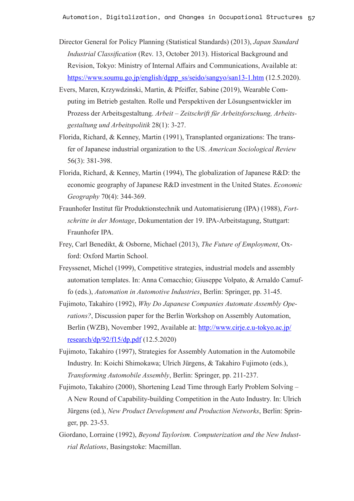- Director General for Policy Planning (Statistical Standards) (2013), *Japan Standard Industrial Classification* (Rev. 13, October 2013). Historical Background and Revision, Tokyo: Ministry of Internal Affairs and Communications, Available at: [https://www.soumu.go.jp/english/dgpp\\_ss/seido/sangyo/san13-1.htm](https://www.soumu.go.jp/english/dgpp_ss/seido/sangyo/san13-1.htm) (12.5.2020).
- Evers, Maren, Krzywdzinski, Martin, & Pfeiffer, Sabine (2019), Wearable Computing im Betrieb gestalten. Rolle und Perspektiven der Lösungsentwickler im Prozess der Arbeitsgestaltung. *Arbeit – Zeitschrift für Arbeitsforschung, Arbeitsgestaltung und Arbeitspolitik* 28(1): 3-27.
- Florida, Richard, & Kenney, Martin (1991), Transplanted organizations: The transfer of Japanese industrial organization to the US. *American Sociological Review* 56(3): 381-398.
- Florida, Richard, & Kenney, Martin (1994), The globalization of Japanese R&D: the economic geography of Japanese R&D investment in the United States. *Economic Geography* 70(4): 344-369.
- Fraunhofer Institut für Produktionstechnik und Automatisierung (IPA) (1988), *Fortschritte in der Montage*, Dokumentation der 19. IPA-Arbeitstagung, Stuttgart: Fraunhofer IPA.
- Frey, Carl Benedikt, & Osborne, Michael (2013), *The Future of Employment*, Oxford: Oxford Martin School.
- Freyssenet, Michel (1999), Competitive strategies, industrial models and assembly automation templates. In: Anna Comacchio; Giuseppe Volpato, & Arnaldo Camuffo (eds.), *Automation in Automotive Industries*, Berlin: Springer, pp. 31-45.
- Fujimoto, Takahiro (1992), *Why Do Japanese Companies Automate Assembly Operations?*, Discussion paper for the Berlin Workshop on Assembly Automation, Berlin (WZB), November 1992, Available at: [http://www.cirje.e.u-tokyo.ac.jp/](http://www.cirje.e.u-tokyo.ac.jp/research/dp/92/f15/dp.pdf) [research/dp/92/f15/dp.pdf](http://www.cirje.e.u-tokyo.ac.jp/research/dp/92/f15/dp.pdf) (12.5.2020)
- Fujimoto, Takahiro (1997), Strategies for Assembly Automation in the Automobile Industry. In: Koichi Shimokawa; Ulrich Jürgens, & Takahiro Fujimoto (eds.), *Transforming Automobile Assembly*, Berlin: Springer, pp. 211-237.
- Fujimoto, Takahiro (2000), Shortening Lead Time through Early Problem Solving A New Round of Capability-building Competition in the Auto Industry. In: Ulrich Jürgens (ed.), *New Product Development and Production Networks*, Berlin: Springer, pp. 23-53.
- Giordano, Lorraine (1992), *Beyond Taylorism. Computerization and the New Industrial Relations*, Basingstoke: Macmillan.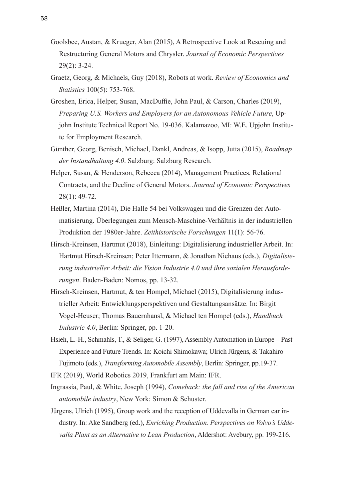- Goolsbee, Austan, & Krueger, Alan (2015), A Retrospective Look at Rescuing and Restructuring General Motors and Chrysler. *Journal of Economic Perspectives* 29(2): 3-24.
- Graetz, Georg, & Michaels, Guy (2018), Robots at work. *Review of Economics and Statistics* 100(5): 753-768.
- Groshen, Erica, Helper, Susan, MacDuffie, John Paul, & Carson, Charles (2019), *Preparing U.S. Workers and Employers for an Autonomous Vehicle Future*, Upjohn Institute Technical Report No. 19-036. Kalamazoo, MI: W.E. Upjohn Institute for Employment Research.
- Günther, Georg, Benisch, Michael, Dankl, Andreas, & Isopp, Jutta (2015), *Roadmap der Instandhaltung 4.0*. Salzburg: Salzburg Research.
- Helper, Susan, & Henderson, Rebecca (2014), Management Practices, Relational Contracts, and the Decline of General Motors. *Journal of Economic Perspectives* 28(1): 49-72.
- Heßler, Martina (2014), Die Halle 54 bei Volkswagen und die Grenzen der Automatisierung. Überlegungen zum Mensch-Maschine-Verhältnis in der industriellen Produktion der 1980er-Jahre. *Zeithistorische Forschungen* 11(1): 56-76.
- Hirsch-Kreinsen, Hartmut (2018), Einleitung: Digitalisierung industrieller Arbeit. In: Hartmut Hirsch-Kreinsen; Peter Ittermann, & Jonathan Niehaus (eds.), *Digitalisierung industrieller Arbeit: die Vision Industrie 4.0 und ihre sozialen Herausforderungen*. Baden-Baden: Nomos, pp. 13-32.
- Hirsch-Kreinsen, Hartmut, & ten Hompel, Michael (2015), Digitalisierung industrieller Arbeit: Entwicklungsperspektiven und Gestaltungsansätze. In: Birgit Vogel-Heuser; Thomas Bauernhansl, & Michael ten Hompel (eds.), *Handbuch Industrie 4.0*, Berlin: Springer, pp. 1-20.
- Hsieh, L.-H., Schmahls, T., & Seliger, G. (1997), Assembly Automation in Europe Past Experience and Future Trends. In: Koichi Shimokawa; Ulrich Jürgens, & Takahiro Fujimoto (eds.), *Transforming Automobile Assembly*, Berlin: Springer, pp.19-37.

IFR (2019), World Robotics 2019, Frankfurt am Main: IFR.

- Ingrassia, Paul, & White, Joseph (1994), *Comeback: the fall and rise of the American automobile industry*, New York: Simon & Schuster.
- Jürgens, Ulrich (1995), Group work and the reception of Uddevalla in German car industry. In: Ake Sandberg (ed.), *Enriching Production. Perspectives on Volvo's Uddevalla Plant as an Alternative to Lean Production*, Aldershot: Avebury, pp. 199-216.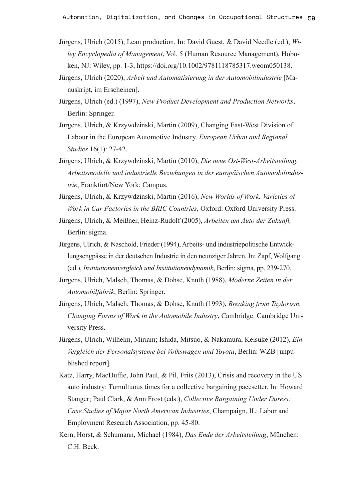- Jürgens, Ulrich (2015), Lean production. In: David Guest, & David Needle (ed.), *Wiley Encyclopedia of Management*, Vol. 5 (Human Resource Management), Hoboken, NJ: Wiley, pp. 1-3, <https://doi.org/10.1002/9781118785317.weom050138>.
- Jürgens, Ulrich (2020), *Arbeit und Automatisierung in der Automobilindustrie* [Manuskript, im Erscheinen].
- Jürgens, Ulrich (ed.) (1997), *New Product Development and Production Networks*, Berlin: Springer.
- Jürgens, Ulrich, & Krzywdzinski, Martin (2009), Changing East-West Division of Labour in the European Automotive Industry. *European Urban and Regional Studies* 16(1): 27-42.
- Jürgens, Ulrich, & Krzywdzinski, Martin (2010), *Die neue Ost-West-Arbeitsteilung. Arbeitsmodelle und industrielle Beziehungen in der europäischen Automobilindustrie*, Frankfurt/New York: Campus.
- Jürgens, Ulrich, & Krzywdzinski, Martin (2016), *New Worlds of Work. Varieties of Work in Car Factories in the BRIC Countries*, Oxford: Oxford University Press.
- Jürgens, Ulrich, & Meißner, Heinz-Rudolf (2005), *Arbeiten am Auto der Zukunft,* Berlin: sigma.
- Jürgens, Ulrich, & Naschold, Frieder (1994), Arbeits- und industriepolitische Entwicklungsengpässe in der deutschen Industrie in den neunziger Jahren. In: Zapf, Wolfgang (ed.), *Institutionenvergleich und Institutionendynamik*, Berlin: sigma, pp. 239-270.
- Jürgens, Ulrich, Malsch, Thomas, & Dohse, Knuth (1988), *Moderne Zeiten in der Automobilfabrik*, Berlin: Springer.
- Jürgens, Ulrich, Malsch, Thomas, & Dohse, Knuth (1993), *Breaking from Taylorism. Changing Forms of Work in the Automobile Industry*, Cambridge: Cambridge University Press.
- Jürgens, Ulrich, Wilhelm, Miriam; Ishida, Mitsuo, & Nakamura, Keisuke (2012), *Ein Vergleich der Personalsysteme bei Volkswagen und Toyota*, Berlin: WZB [unpublished report].
- Katz, Harry, MacDuffie, John Paul, & Pil, Frits (2013), Crisis and recovery in the US auto industry: Tumultuous times for a collective bargaining pacesetter. In: Howard Stanger; Paul Clark, & Ann Frost (eds.), *Collective Bargaining Under Duress: Case Studies of Major North American Industries*, Champaign, IL: Labor and Employment Research Association, pp. 45-80.
- Kern, Horst, & Schumann, Michael (1984), *Das Ende der Arbeitsteilung*, München: C.H. Beck.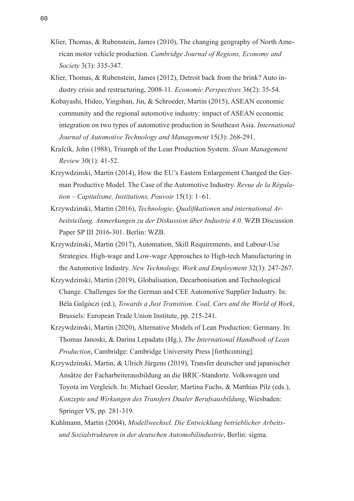- Klier, Thomas, & Rubenstein, James (2010), The changing geography of North American motor vehicle production. *Cambridge Journal of Regions, Economy and Society* 3(3): 335-347.
- Klier, Thomas, & Rubenstein, James (2012), Detroit back from the brink? Auto industry crisis and restructuring, 2008-11. *Economic Perspectives* 36(2): 35-54.
- Kobayashi, Hideo, Yingshan, Jin, & Schroeder, Martin (2015), ASEAN economic community and the regional automotive industry: impact of ASEAN economic integration on two types of automotive production in Southeast Asia. *International Journal of Automotive Technology and Management* 15(3): 268-291.
- Krafcik, John (1988), Triumph of the Lean Production System. *Sloan Management Review* 30(1): 41-52.
- Krzywdzinski, Martin (2014), How the EU's Eastern Enlargement Changed the German Productive Model. The Case of the Automotive Industry. *Revue de la Régulation – Capitalisme, Institutions, Pouvoir* 15(1): 1–61.
- Krzywdzinski, Martin (2016), *Technologie, Qualifikationen und international Arbeitsteilung. Anmerkungen zu der Diskussion über Industrie 4.0*. WZB Discussion Paper SP III 2016-301. Berlin: WZB.
- Krzywdzinski, Martin (2017), Automation, Skill Requirements, and Labour-Use Strategies. High-wage and Low-wage Approaches to High-tech Manufacturing in the Automotive Industry. *New Technology, Work and Employment* 32(3): 247-267.
- Krzywdzinski, Martin (2019), Globalisation, Decarbonisation and Technological Change. Challenges for the German and CEE Automotive Supplier Industry. In: Béla Galgóczi (ed.), *Towards a Just Transition. Coal, Cars and the World of Work*, Brussels: European Trade Union Institute, pp. 215-241.
- Krzywdzinski, Martin (2020), Alternative Models of Lean Production: Germany. In: Thomas Janoski, & Darina Lepadatu (Hg.), *The International Handbook of Lean Production*, Cambridge: Cambridge University Press [forthcoming].
- Krzywdzinski, Martin, & Ulrich Jürgens (2019), Transfer deutscher und japanischer Ansätze der Facharbeiterausbildung an die BRIC-Standorte. Volkswagen und Toyota im Vergleich. In: Michael Gessler; Martina Fuchs, & Matthias Pilz (eds.), *Konzepte und Wirkungen des Transfers Dualer Berufsausbildung*, Wiesbaden: Springer VS, pp. 281-319.
- Kuhlmann, Martin (2004), *Modellwechsel. Die Entwicklung betrieblicher Arbeitsund Sozialstrukturen in der deutschen Automobilindustrie*, Berlin: sigma.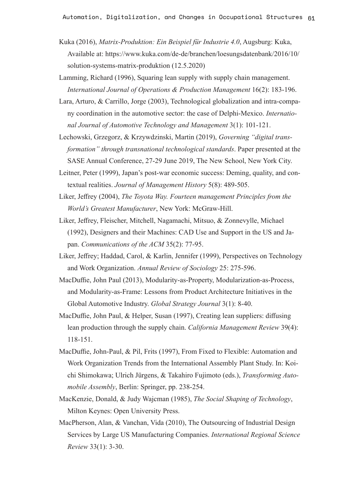- Kuka (2016), *Matrix-Produktion: Ein Beispiel für Industrie 4.0*, Augsburg: Kuka, Available at: [https://www.kuka.com/de-de/branchen/loesungsdatenbank/2016/10/](https://www.kuka.com/de-de/branchen/loesungsdatenbank/2016/10/solution-systems-matrix-produktion) [solution-systems-matrix-produktion](https://www.kuka.com/de-de/branchen/loesungsdatenbank/2016/10/solution-systems-matrix-produktion) (12.5.2020)
- Lamming, Richard (1996), Squaring lean supply with supply chain management. *International Journal of Operations & Production Management* 16(2): 183-196.
- Lara, Arturo, & Carrillo, Jorge (2003), Technological globalization and intra-company coordination in the automotive sector: the case of Delphi-Mexico. *International Journal of Automotive Technology and Management* 3(1): 101-121.
- Lechowski, Grzegorz, & Krzywdzinski, Martin (2019), *Governing "digital transformation" through transnational technological standards*. Paper presented at the SASE Annual Conference, 27-29 June 2019, The New School, New York City.
- Leitner, Peter (1999), Japan's post-war economic success: Deming, quality, and contextual realities. *Journal of Management History* 5(8): 489-505.
- Liker, Jeffrey (2004), *The Toyota Way. Fourteen management Principles from the World's Greatest Manufacturer*, New York: McGraw-Hill.
- Liker, Jeffrey, Fleischer, Mitchell, Nagamachi, Mitsuo, & Zonnevylle, Michael (1992), Designers and their Machines: CAD Use and Support in the US and Japan. *Communications of the ACM* 35(2): 77-95.
- Liker, Jeffrey; Haddad, Carol, & Karlin, Jennifer (1999), Perspectives on Technology and Work Organization. *Annual Review of Sociology* 25: 275-596.
- MacDuffie, John Paul (2013), Modularity-as-Property, Modularization-as-Process, and Modularity-as-Frame: Lessons from Product Architecture Initiatives in the Global Automotive Industry. *Global Strategy Journal* 3(1): 8-40.
- MacDuffie, John Paul, & Helper, Susan (1997), Creating lean suppliers: diffusing lean production through the supply chain. *California Management Review* 39(4): 118-151.
- MacDuffie, John-Paul, & Pil, Frits (1997), From Fixed to Flexible: Automation and Work Organization Trends from the International Assembly Plant Study. In: Koichi Shimokawa; Ulrich Jürgens, & Takahiro Fujimoto (eds.), *Transforming Automobile Assembly*, Berlin: Springer, pp. 238-254.
- MacKenzie, Donald, & Judy Wajcman (1985), *The Social Shaping of Technology*, Milton Keynes: Open University Press.
- MacPherson, Alan, & Vanchan, Vida (2010), The Outsourcing of Industrial Design Services by Large US Manufacturing Companies. *International Regional Science Review* 33(1): 3-30.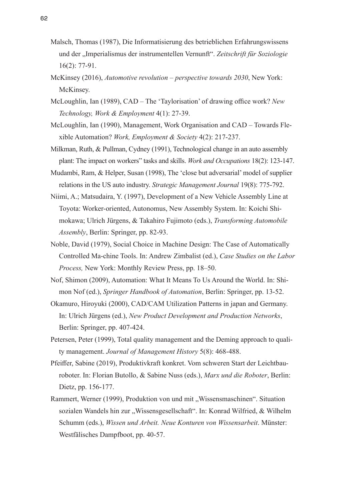- Malsch, Thomas (1987), Die Informatisierung des betrieblichen Erfahrungswissens und der "Imperialismus der instrumentellen Vernunft". *Zeitschrift für Soziologie* 16(2): 77-91.
- McKinsey (2016), *Automotive revolution perspective towards 2030*, New York: McKinsey.
- McLoughlin, Ian (1989), CAD The 'Taylorisation' of drawing office work? *New Technology, Work & Employment* 4(1): 27-39.
- McLoughlin, Ian (1990), Management, Work Organisation and CAD Towards Flexible Automation? *Work, Employment & Society* 4(2): 217-237.
- Milkman, Ruth, & Pullman, Cydney (1991), Technological change in an auto assembly plant: The impact on workers" tasks and skills. *Work and Occupations* 18(2): 123-147.
- Mudambi, Ram, & Helper, Susan (1998), The 'close but adversarial' model of supplier relations in the US auto industry. *Strategic Management Journal* 19(8): 775-792.
- Niimi, A.; Matsudaira, Y. (1997), Development of a New Vehicle Assembly Line at Toyota: Worker-oriented, Autonomus, New Assembly System. In: Koichi Shimokawa; Ulrich Jürgens, & Takahiro Fujimoto (eds.), *Transforming Automobile Assembly*, Berlin: Springer, pp. 82-93.
- Noble, David (1979), Social Choice in Machine Design: The Case of Automatically Controlled Ma-chine Tools. In: Andrew Zimbalist (ed.), *Case Studies on the Labor Process,* New York: Monthly Review Press, pp. 18–50.
- Nof, Shimon (2009), Automation: What It Means To Us Around the World. In: Shimon Nof (ed.), *Springer Handbook of Automation*, Berlin: Springer, pp. 13-52.
- Okamuro, Hiroyuki (2000), CAD/CAM Utilization Patterns in japan and Germany. In: Ulrich Jürgens (ed.), *New Product Development and Production Networks*, Berlin: Springer, pp. 407-424.
- Petersen, Peter (1999), Total quality management and the Deming approach to quality management. *Journal of Management History* 5(8): 468-488.
- Pfeiffer, Sabine (2019), Produktivkraft konkret. Vom schweren Start der Leichtbauroboter. In: Florian Butollo, & Sabine Nuss (eds.), *Marx und die Roboter*, Berlin: Dietz, pp. 156-177.
- Rammert, Werner (1999), Produktion von und mit "Wissensmaschinen". Situation sozialen Wandels hin zur "Wissensgesellschaft". In: Konrad Wilfried, & Wilhelm Schumm (eds.), *Wissen und Arbeit. Neue Konturen von Wissensarbeit*. Münster: Westfälisches Dampfboot, pp. 40-57.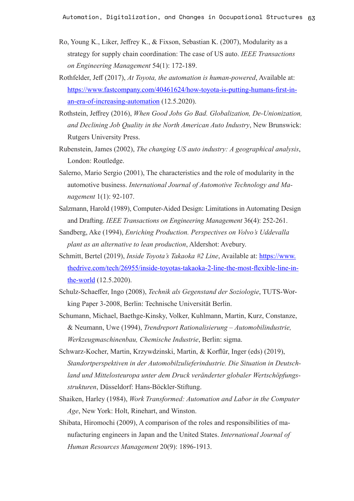- Ro, Young K., Liker, Jeffrey K., & Fixson, Sebastian K. (2007), Modularity as a strategy for supply chain coordination: The case of US auto. *IEEE Transactions on Engineering Management* 54(1): 172-189.
- Rothfelder, Jeff (2017), *At Toyota, the automation is human-powered*, Available at: [https://www.fastcompany.com/40461624/how-toyota-is-putting-humans-first-in](https://www.fastcompany.com/40461624/how-toyota-is-putting-humans-first-in-an-era-of-increasing-automation)[an-era-of-increasing-automation](https://www.fastcompany.com/40461624/how-toyota-is-putting-humans-first-in-an-era-of-increasing-automation) (12.5.2020).
- Rothstein, Jeffrey (2016), *When Good Jobs Go Bad. Globalization, De-Unionization, and Declining Job Quality in the North American Auto Industry*, New Brunswick: Rutgers University Press.
- Rubenstein, James (2002), *The changing US auto industry: A geographical analysis*, London: Routledge.
- Salerno, Mario Sergio (2001), The characteristics and the role of modularity in the automotive business. *International Journal of Automotive Technology and Management* 1(1): 92-107.
- Salzmann, Harold (1989), Computer-Aided Design: Limitations in Automating Design and Drafting. *IEEE Transactions on Engineering Management* 36(4): 252-261.
- Sandberg, Ake (1994), *Enriching Production. Perspectives on Volvo's Uddevalla plant as an alternative to lean production*, Aldershot: Avebury.
- Schmitt, Bertel (2019), *Inside Toyota's Takaoka #2 Line*, Available at: [https://www.](https://www.thedrive.com/tech/26955/inside-toyotas-takaoka-2-line-the-most-flexible-line-in-the-world) [thedrive.com/tech/26955/inside-toyotas-takaoka-2-line-the-most-flexible-line-in](https://www.thedrive.com/tech/26955/inside-toyotas-takaoka-2-line-the-most-flexible-line-in-the-world)[the-world](https://www.thedrive.com/tech/26955/inside-toyotas-takaoka-2-line-the-most-flexible-line-in-the-world) (12.5.2020).
- Schulz-Schaeffer, Ingo (2008), *Technik als Gegenstand der Soziologie*, TUTS-Working Paper 3-2008, Berlin: Technische Universität Berlin.
- Schumann, Michael, Baethge-Kinsky, Volker, Kuhlmann, Martin, Kurz, Constanze, & Neumann, Uwe (1994), *Trendreport Rationalisierung – Automobilindustrie, Werkzeugmaschinenbau, Chemische Industrie*, Berlin: sigma.
- Schwarz-Kocher, Martin, Krzywdzinski, Martin, & Korflür, Inger (eds) (2019), *Standortperspektiven in der Automobilzulieferindustrie. Die Situation in Deutschland und Mittelosteuropa unter dem Druck veränderter globaler Wertschöpfungsstrukturen*, Düsseldorf: Hans-Böckler-Stiftung.
- Shaiken, Harley (1984), *Work Transformed: Automation and Labor in the Computer Age*, New York: Holt, Rinehart, and Winston.
- Shibata, Hiromochi (2009), A comparison of the roles and responsibilities of manufacturing engineers in Japan and the United States. *International Journal of Human Resources Management* 20(9): 1896-1913.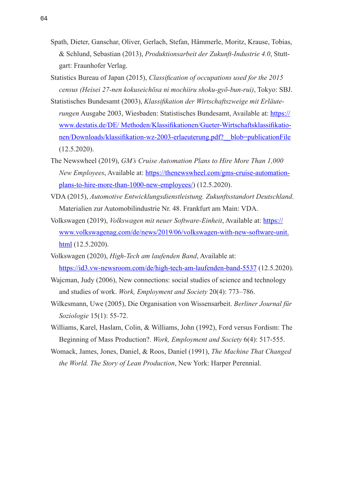- Spath, Dieter, Ganschar, Oliver, Gerlach, Stefan, Hämmerle, Moritz, Krause, Tobias, & Schlund, Sebastian (2013), *Produktionsarbeit der Zukunft-Industrie 4.0*, Stuttgart: Fraunhofer Verlag.
- Statistics Bureau of Japan (2015), *Classification of occupations used for the 2015 census (Heisei 27-nen kokuseichōsa ni mochiiru shoku-gyō-bun-rui)*, Tokyo: SBJ.
- Statistisches Bundesamt (2003), *Klassifikation der Wirtschaftszweige mit Erläuterungen* Ausgabe 2003, Wiesbaden: Statistisches Bundesamt, Available at: [https://](https://www.destatis.de/DE/%20Methoden/Klassifikationen/Gueter-Wirtschaftsklassifikationen/Downloads/klassifikation-wz-2003-erlaeuterung.pdf?__blob=publicationFile) [www.destatis.de/DE/ Methoden/Klassifikationen/Gueter-Wirtschaftsklassifikatio](https://www.destatis.de/DE/%20Methoden/Klassifikationen/Gueter-Wirtschaftsklassifikationen/Downloads/klassifikation-wz-2003-erlaeuterung.pdf?__blob=publicationFile)[nen/Downloads/klassifikation-wz-2003-erlaeuterung.pdf?\\_\\_blob=publicationFile](https://www.destatis.de/DE/%20Methoden/Klassifikationen/Gueter-Wirtschaftsklassifikationen/Downloads/klassifikation-wz-2003-erlaeuterung.pdf?__blob=publicationFile) (12.5.2020).
- The Newswheel (2019), *GM's Cruise Automation Plans to Hire More Than 1,000 New Employees*, Available at: [https://thenewswheel.com/gms-cruise-automation](https://thenewswheel.com/gms-cruise-automation-plans-to-hire-more-than-1000-new-employees/)[plans-to-hire-more-than-1000-new-employees/](https://thenewswheel.com/gms-cruise-automation-plans-to-hire-more-than-1000-new-employees/)) (12.5.2020).
- VDA (2015), *Automotive Entwicklungsdienstleistung. Zukunftsstandort Deutschland*. Materialien zur Automobilindustrie Nr. 48. Frankfurt am Main: VDA.
- Volkswagen (2019), *Volkswagen mit neuer Software-Einheit*, Available at: [https://](https://www.volkswagenag.com/de/news/2019/06/volkswagen-with-new-software-unit.html) [www.volkswagenag.com/de/news/2019/06/volkswagen-with-new-software-unit.](https://www.volkswagenag.com/de/news/2019/06/volkswagen-with-new-software-unit.html) [html](https://www.volkswagenag.com/de/news/2019/06/volkswagen-with-new-software-unit.html) (12.5.2020).
- Volkswagen (2020), *High-Tech am laufenden Band*, Available at: <https://id3.vw-newsroom.com/de/high-tech-am-laufenden-band-5537>(12.5.2020).
- Wajcman, Judy (2006), New connections: social studies of science and technology and studies of work. *Work, Employment and Society* 20(4): 773–786.
- Wilkesmann, Uwe (2005), Die Organisation von Wissensarbeit. *Berliner Journal für Soziologie* 15(1): 55-72.
- Williams, Karel, Haslam, Colin, & Williams, John (1992), Ford versus Fordism: The Beginning of Mass Production?. *Work, Employment and Society* 6(4): 517-555.
- Womack, James, Jones, Daniel, & Roos, Daniel (1991), *The Machine That Changed the World. The Story of Lean Production*, New York: Harper Perennial.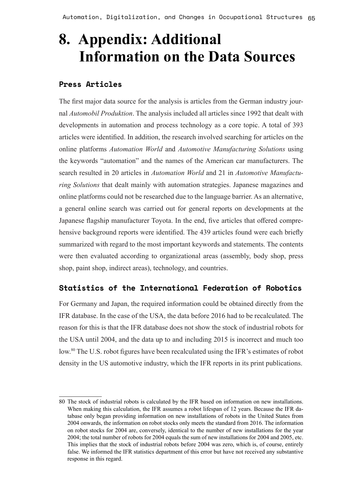Automation, Digitalization, and Changes in Occupational Structures 65

# **8. Appendix: Additional Information on the Data Sources**

#### **Press Articles**

The first major data source for the analysis is articles from the German industry journal *Automobil Produktion*. The analysis included all articles since 1992 that dealt with developments in automation and process technology as a core topic. A total of 393 articles were identified. In addition, the research involved searching for articles on the online platforms *Automation World* and *Automotive Manufacturing Solutions* using the keywords "automation" and the names of the American car manufacturers. The search resulted in 20 articles in *Automation World* and 21 in *Automotive Manufacturing Solutions* that dealt mainly with automation strategies. Japanese magazines and online platforms could not be researched due to the language barrier. As an alternative, a general online search was carried out for general reports on developments at the Japanese flagship manufacturer Toyota. In the end, five articles that offered comprehensive background reports were identified. The 439 articles found were each briefly summarized with regard to the most important keywords and statements. The contents were then evaluated according to organizational areas (assembly, body shop, press shop, paint shop, indirect areas), technology, and countries.

#### **Statistics of the International Federation of Robotics**

For Germany and Japan, the required information could be obtained directly from the IFR database. In the case of the USA, the data before 2016 had to be recalculated. The reason for this is that the IFR database does not show the stock of industrial robots for the USA until 2004, and the data up to and including 2015 is incorrect and much too low.<sup>80</sup> The U.S. robot figures have been recalculated using the IFR's estimates of robot density in the US automotive industry, which the IFR reports in its print publications.

<sup>80</sup> The stock of industrial robots is calculated by the IFR based on information on new installations. When making this calculation, the IFR assumes a robot lifespan of 12 years. Because the IFR database only began providing information on new installations of robots in the United States from 2004 onwards, the information on robot stocks only meets the standard from 2016. The information on robot stocks for 2004 are, conversely, identical to the number of new installations for the year 2004; the total number of robots for 2004 equals the sum of new installations for 2004 and 2005, etc. This implies that the stock of industrial robots before 2004 was zero, which is, of course, entirely false. We informed the IFR statistics department of this error but have not received any substantive response in this regard.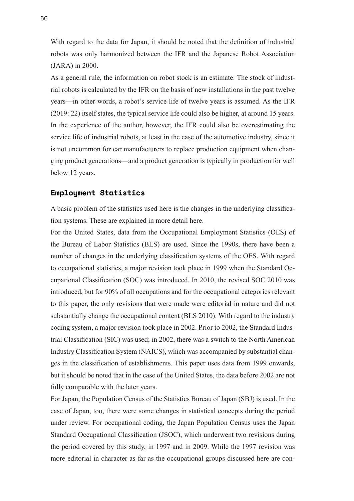With regard to the data for Japan, it should be noted that the definition of industrial robots was only harmonized between the IFR and the Japanese Robot Association (JARA) in 2000.

As a general rule, the information on robot stock is an estimate. The stock of industrial robots is calculated by the IFR on the basis of new installations in the past twelve years—in other words, a robot's service life of twelve years is assumed. As the IFR (2019: 22) itself states, the typical service life could also be higher, at around 15 years. In the experience of the author, however, the IFR could also be overestimating the service life of industrial robots, at least in the case of the automotive industry, since it is not uncommon for car manufacturers to replace production equipment when changing product generations—and a product generation is typically in production for well below 12 years.

#### **Employment Statistics**

A basic problem of the statistics used here is the changes in the underlying classification systems. These are explained in more detail here.

For the United States, data from the Occupational Employment Statistics (OES) of the Bureau of Labor Statistics (BLS) are used. Since the 1990s, there have been a number of changes in the underlying classification systems of the OES. With regard to occupational statistics, a major revision took place in 1999 when the Standard Occupational Classification (SOC) was introduced. In 2010, the revised SOC 2010 was introduced, but for 90% of all occupations and for the occupational categories relevant to this paper, the only revisions that were made were editorial in nature and did not substantially change the occupational content (BLS 2010). With regard to the industry coding system, a major revision took place in 2002. Prior to 2002, the Standard Industrial Classification (SIC) was used; in 2002, there was a switch to the North American Industry Classification System (NAICS), which was accompanied by substantial changes in the classification of establishments. This paper uses data from 1999 onwards, but it should be noted that in the case of the United States, the data before 2002 are not fully comparable with the later years.

For Japan, the Population Census of the Statistics Bureau of Japan (SBJ) is used. In the case of Japan, too, there were some changes in statistical concepts during the period under review. For occupational coding, the Japan Population Census uses the Japan Standard Occupational Classification (JSOC), which underwent two revisions during the period covered by this study, in 1997 and in 2009. While the 1997 revision was more editorial in character as far as the occupational groups discussed here are con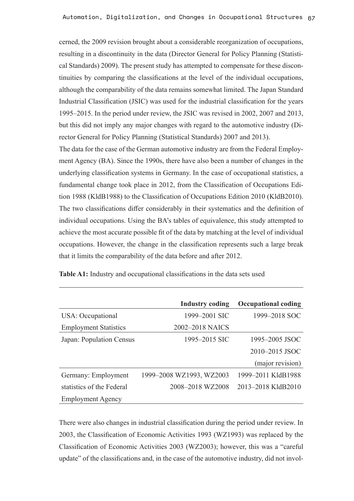cerned, the 2009 revision brought about a considerable reorganization of occupations, resulting in a discontinuity in the data (Director General for Policy Planning (Statistical Standards) 2009). The present study has attempted to compensate for these discontinuities by comparing the classifications at the level of the individual occupations, although the comparability of the data remains somewhat limited. The Japan Standard Industrial Classification (JSIC) was used for the industrial classification for the years 1995–2015. In the period under review, the JSIC was revised in 2002, 2007 and 2013, but this did not imply any major changes with regard to the automotive industry (Director General for Policy Planning (Statistical Standards) 2007 and 2013).

The data for the case of the German automotive industry are from the Federal Employment Agency (BA). Since the 1990s, there have also been a number of changes in the underlying classification systems in Germany. In the case of occupational statistics, a fundamental change took place in 2012, from the Classification of Occupations Edition 1988 (KldB1988) to the Classification of Occupations Edition 2010 (KldB2010). The two classifications differ considerably in their systematics and the definition of individual occupations. Using the BA's tables of equivalence, this study attempted to achieve the most accurate possible fit of the data by matching at the level of individual occupations. However, the change in the classification represents such a large break that it limits the comparability of the data before and after 2012.

|                              | <b>Industry coding</b>   | <b>Occupational coding</b> |
|------------------------------|--------------------------|----------------------------|
| USA: Occupational            | 1999–2001 SIC            | 1999–2018 SOC              |
| <b>Employment Statistics</b> | 2002–2018 NAICS          |                            |
| Japan: Population Census     | 1995–2015 SIC            | 1995–2005 JSOC             |
|                              |                          | 2010-2015 JSOC             |
|                              |                          | (major revision)           |
| Germany: Employment          | 1999-2008 WZ1993, WZ2003 | 1999-2011 K1dB1988         |
| statistics of the Federal    | 2008-2018 WZ2008         | 2013-2018 KldB2010         |
| <b>Employment Agency</b>     |                          |                            |

**Table A1:** Industry and occupational classifications in the data sets used

There were also changes in industrial classification during the period under review. In 2003, the Classification of Economic Activities 1993 (WZ1993) was replaced by the Classification of Economic Activities 2003 (WZ2003); however, this was a "careful update" of the classifications and, in the case of the automotive industry, did not invol